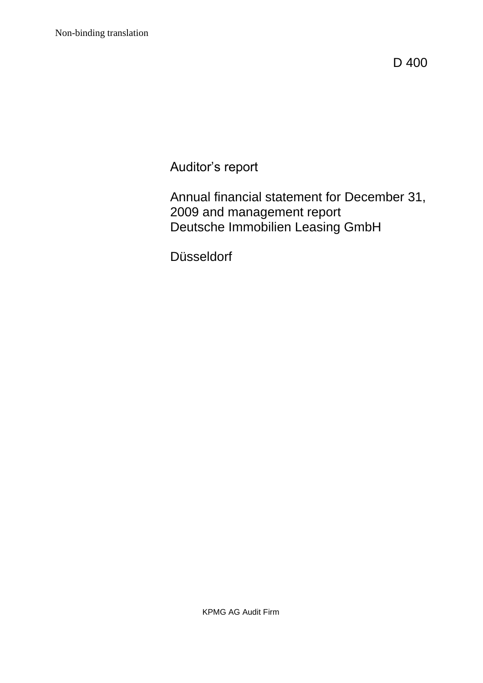D 400

Auditor's report

Annual financial statement for December 31, 2009 and management report Deutsche Immobilien Leasing GmbH

Düsseldorf

KPMG AG Audit Firm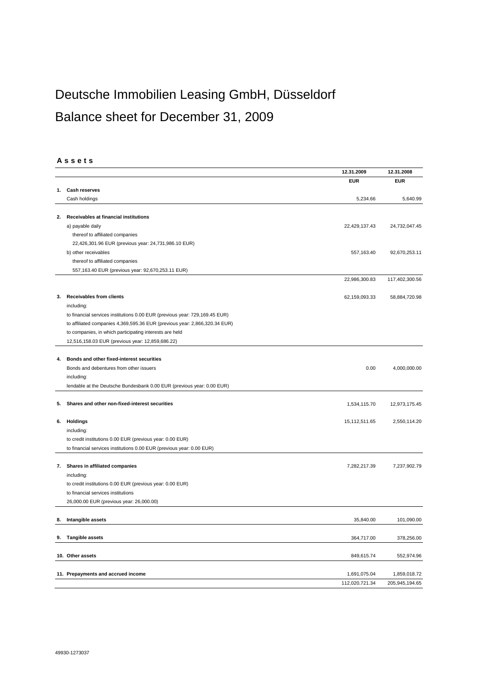# Deutsche Immobilien Leasing GmbH, Düsseldorf Balance sheet for December 31, 2009

### **A s s e t s**

| <b>EUR</b><br><b>EUR</b><br><b>Cash reserves</b><br>1.<br>Cash holdings<br>5,234.66<br>5,640.99<br>Receivables at financial institutions<br>2.<br>22,429,137.43<br>24,732,047.45<br>a) payable daily<br>thereof to affiliated companies<br>22,426,301.96 EUR (previous year: 24,731,986.10 EUR)<br>b) other receivables<br>557,163.40<br>92,670,253.11<br>thereof to affiliated companies<br>557,163.40 EUR (previous year: 92,670,253.11 EUR)<br>22,986,300.83<br>117,402,300.56<br><b>Receivables from clients</b><br>62,159,093.33<br>58,884,720.98<br>3.<br>including:<br>to financial services institutions 0.00 EUR (previous year: 729,169.45 EUR)<br>to affiliated companies 4,369,595.36 EUR (previous year: 2,866,320.34 EUR)<br>to companies, in which participating interests are held<br>12,516,158.03 EUR (previous year: 12,859,686.22)<br>Bonds and other fixed-interest securities<br>4.<br>Bonds and debentures from other issuers<br>0.00<br>4,000,000.00<br>including:<br>lendable at the Deutsche Bundesbank 0.00 EUR (previous year: 0.00 EUR)<br>Shares and other non-fixed-interest securities<br>1,534,115.70<br>12,973,175.45<br>5.<br>Holdings<br>6.<br>15,112,511.65<br>2,550,114.20<br>including:<br>to credit institutions 0.00 EUR (previous year: 0.00 EUR)<br>to financial services institutions 0.00 EUR (previous year: 0.00 EUR)<br>7. Shares in affiliated companies<br>7,282,217.39<br>7,237,902.79<br>including:<br>to credit institutions 0.00 EUR (previous year: 0.00 EUR)<br>to financial services institutions<br>26,000.00 EUR (previous year: 26,000.00)<br>Intangible assets<br>35,840.00<br>101,090.00<br>8.<br><b>Tangible assets</b><br>364,717.00<br>378,256.00<br>9.<br>10. Other assets<br>849,615.74<br>552,974.96<br>11. Prepayments and accrued income<br>1,691,075.04<br>1,859,018.72<br>112,020,721.34<br>205,945,194.65 |  | 12.31.2009 | 12.31.2008 |
|------------------------------------------------------------------------------------------------------------------------------------------------------------------------------------------------------------------------------------------------------------------------------------------------------------------------------------------------------------------------------------------------------------------------------------------------------------------------------------------------------------------------------------------------------------------------------------------------------------------------------------------------------------------------------------------------------------------------------------------------------------------------------------------------------------------------------------------------------------------------------------------------------------------------------------------------------------------------------------------------------------------------------------------------------------------------------------------------------------------------------------------------------------------------------------------------------------------------------------------------------------------------------------------------------------------------------------------------------------------------------------------------------------------------------------------------------------------------------------------------------------------------------------------------------------------------------------------------------------------------------------------------------------------------------------------------------------------------------------------------------------------------------------------------------------------------------------------------------------------------------------|--|------------|------------|
|                                                                                                                                                                                                                                                                                                                                                                                                                                                                                                                                                                                                                                                                                                                                                                                                                                                                                                                                                                                                                                                                                                                                                                                                                                                                                                                                                                                                                                                                                                                                                                                                                                                                                                                                                                                                                                                                                    |  |            |            |
|                                                                                                                                                                                                                                                                                                                                                                                                                                                                                                                                                                                                                                                                                                                                                                                                                                                                                                                                                                                                                                                                                                                                                                                                                                                                                                                                                                                                                                                                                                                                                                                                                                                                                                                                                                                                                                                                                    |  |            |            |
|                                                                                                                                                                                                                                                                                                                                                                                                                                                                                                                                                                                                                                                                                                                                                                                                                                                                                                                                                                                                                                                                                                                                                                                                                                                                                                                                                                                                                                                                                                                                                                                                                                                                                                                                                                                                                                                                                    |  |            |            |
|                                                                                                                                                                                                                                                                                                                                                                                                                                                                                                                                                                                                                                                                                                                                                                                                                                                                                                                                                                                                                                                                                                                                                                                                                                                                                                                                                                                                                                                                                                                                                                                                                                                                                                                                                                                                                                                                                    |  |            |            |
|                                                                                                                                                                                                                                                                                                                                                                                                                                                                                                                                                                                                                                                                                                                                                                                                                                                                                                                                                                                                                                                                                                                                                                                                                                                                                                                                                                                                                                                                                                                                                                                                                                                                                                                                                                                                                                                                                    |  |            |            |
|                                                                                                                                                                                                                                                                                                                                                                                                                                                                                                                                                                                                                                                                                                                                                                                                                                                                                                                                                                                                                                                                                                                                                                                                                                                                                                                                                                                                                                                                                                                                                                                                                                                                                                                                                                                                                                                                                    |  |            |            |
|                                                                                                                                                                                                                                                                                                                                                                                                                                                                                                                                                                                                                                                                                                                                                                                                                                                                                                                                                                                                                                                                                                                                                                                                                                                                                                                                                                                                                                                                                                                                                                                                                                                                                                                                                                                                                                                                                    |  |            |            |
|                                                                                                                                                                                                                                                                                                                                                                                                                                                                                                                                                                                                                                                                                                                                                                                                                                                                                                                                                                                                                                                                                                                                                                                                                                                                                                                                                                                                                                                                                                                                                                                                                                                                                                                                                                                                                                                                                    |  |            |            |
|                                                                                                                                                                                                                                                                                                                                                                                                                                                                                                                                                                                                                                                                                                                                                                                                                                                                                                                                                                                                                                                                                                                                                                                                                                                                                                                                                                                                                                                                                                                                                                                                                                                                                                                                                                                                                                                                                    |  |            |            |
|                                                                                                                                                                                                                                                                                                                                                                                                                                                                                                                                                                                                                                                                                                                                                                                                                                                                                                                                                                                                                                                                                                                                                                                                                                                                                                                                                                                                                                                                                                                                                                                                                                                                                                                                                                                                                                                                                    |  |            |            |
|                                                                                                                                                                                                                                                                                                                                                                                                                                                                                                                                                                                                                                                                                                                                                                                                                                                                                                                                                                                                                                                                                                                                                                                                                                                                                                                                                                                                                                                                                                                                                                                                                                                                                                                                                                                                                                                                                    |  |            |            |
|                                                                                                                                                                                                                                                                                                                                                                                                                                                                                                                                                                                                                                                                                                                                                                                                                                                                                                                                                                                                                                                                                                                                                                                                                                                                                                                                                                                                                                                                                                                                                                                                                                                                                                                                                                                                                                                                                    |  |            |            |
|                                                                                                                                                                                                                                                                                                                                                                                                                                                                                                                                                                                                                                                                                                                                                                                                                                                                                                                                                                                                                                                                                                                                                                                                                                                                                                                                                                                                                                                                                                                                                                                                                                                                                                                                                                                                                                                                                    |  |            |            |
|                                                                                                                                                                                                                                                                                                                                                                                                                                                                                                                                                                                                                                                                                                                                                                                                                                                                                                                                                                                                                                                                                                                                                                                                                                                                                                                                                                                                                                                                                                                                                                                                                                                                                                                                                                                                                                                                                    |  |            |            |
|                                                                                                                                                                                                                                                                                                                                                                                                                                                                                                                                                                                                                                                                                                                                                                                                                                                                                                                                                                                                                                                                                                                                                                                                                                                                                                                                                                                                                                                                                                                                                                                                                                                                                                                                                                                                                                                                                    |  |            |            |
|                                                                                                                                                                                                                                                                                                                                                                                                                                                                                                                                                                                                                                                                                                                                                                                                                                                                                                                                                                                                                                                                                                                                                                                                                                                                                                                                                                                                                                                                                                                                                                                                                                                                                                                                                                                                                                                                                    |  |            |            |
|                                                                                                                                                                                                                                                                                                                                                                                                                                                                                                                                                                                                                                                                                                                                                                                                                                                                                                                                                                                                                                                                                                                                                                                                                                                                                                                                                                                                                                                                                                                                                                                                                                                                                                                                                                                                                                                                                    |  |            |            |
|                                                                                                                                                                                                                                                                                                                                                                                                                                                                                                                                                                                                                                                                                                                                                                                                                                                                                                                                                                                                                                                                                                                                                                                                                                                                                                                                                                                                                                                                                                                                                                                                                                                                                                                                                                                                                                                                                    |  |            |            |
|                                                                                                                                                                                                                                                                                                                                                                                                                                                                                                                                                                                                                                                                                                                                                                                                                                                                                                                                                                                                                                                                                                                                                                                                                                                                                                                                                                                                                                                                                                                                                                                                                                                                                                                                                                                                                                                                                    |  |            |            |
|                                                                                                                                                                                                                                                                                                                                                                                                                                                                                                                                                                                                                                                                                                                                                                                                                                                                                                                                                                                                                                                                                                                                                                                                                                                                                                                                                                                                                                                                                                                                                                                                                                                                                                                                                                                                                                                                                    |  |            |            |
|                                                                                                                                                                                                                                                                                                                                                                                                                                                                                                                                                                                                                                                                                                                                                                                                                                                                                                                                                                                                                                                                                                                                                                                                                                                                                                                                                                                                                                                                                                                                                                                                                                                                                                                                                                                                                                                                                    |  |            |            |
|                                                                                                                                                                                                                                                                                                                                                                                                                                                                                                                                                                                                                                                                                                                                                                                                                                                                                                                                                                                                                                                                                                                                                                                                                                                                                                                                                                                                                                                                                                                                                                                                                                                                                                                                                                                                                                                                                    |  |            |            |
|                                                                                                                                                                                                                                                                                                                                                                                                                                                                                                                                                                                                                                                                                                                                                                                                                                                                                                                                                                                                                                                                                                                                                                                                                                                                                                                                                                                                                                                                                                                                                                                                                                                                                                                                                                                                                                                                                    |  |            |            |
|                                                                                                                                                                                                                                                                                                                                                                                                                                                                                                                                                                                                                                                                                                                                                                                                                                                                                                                                                                                                                                                                                                                                                                                                                                                                                                                                                                                                                                                                                                                                                                                                                                                                                                                                                                                                                                                                                    |  |            |            |
|                                                                                                                                                                                                                                                                                                                                                                                                                                                                                                                                                                                                                                                                                                                                                                                                                                                                                                                                                                                                                                                                                                                                                                                                                                                                                                                                                                                                                                                                                                                                                                                                                                                                                                                                                                                                                                                                                    |  |            |            |
|                                                                                                                                                                                                                                                                                                                                                                                                                                                                                                                                                                                                                                                                                                                                                                                                                                                                                                                                                                                                                                                                                                                                                                                                                                                                                                                                                                                                                                                                                                                                                                                                                                                                                                                                                                                                                                                                                    |  |            |            |
|                                                                                                                                                                                                                                                                                                                                                                                                                                                                                                                                                                                                                                                                                                                                                                                                                                                                                                                                                                                                                                                                                                                                                                                                                                                                                                                                                                                                                                                                                                                                                                                                                                                                                                                                                                                                                                                                                    |  |            |            |
|                                                                                                                                                                                                                                                                                                                                                                                                                                                                                                                                                                                                                                                                                                                                                                                                                                                                                                                                                                                                                                                                                                                                                                                                                                                                                                                                                                                                                                                                                                                                                                                                                                                                                                                                                                                                                                                                                    |  |            |            |
|                                                                                                                                                                                                                                                                                                                                                                                                                                                                                                                                                                                                                                                                                                                                                                                                                                                                                                                                                                                                                                                                                                                                                                                                                                                                                                                                                                                                                                                                                                                                                                                                                                                                                                                                                                                                                                                                                    |  |            |            |
|                                                                                                                                                                                                                                                                                                                                                                                                                                                                                                                                                                                                                                                                                                                                                                                                                                                                                                                                                                                                                                                                                                                                                                                                                                                                                                                                                                                                                                                                                                                                                                                                                                                                                                                                                                                                                                                                                    |  |            |            |
|                                                                                                                                                                                                                                                                                                                                                                                                                                                                                                                                                                                                                                                                                                                                                                                                                                                                                                                                                                                                                                                                                                                                                                                                                                                                                                                                                                                                                                                                                                                                                                                                                                                                                                                                                                                                                                                                                    |  |            |            |
|                                                                                                                                                                                                                                                                                                                                                                                                                                                                                                                                                                                                                                                                                                                                                                                                                                                                                                                                                                                                                                                                                                                                                                                                                                                                                                                                                                                                                                                                                                                                                                                                                                                                                                                                                                                                                                                                                    |  |            |            |
|                                                                                                                                                                                                                                                                                                                                                                                                                                                                                                                                                                                                                                                                                                                                                                                                                                                                                                                                                                                                                                                                                                                                                                                                                                                                                                                                                                                                                                                                                                                                                                                                                                                                                                                                                                                                                                                                                    |  |            |            |
|                                                                                                                                                                                                                                                                                                                                                                                                                                                                                                                                                                                                                                                                                                                                                                                                                                                                                                                                                                                                                                                                                                                                                                                                                                                                                                                                                                                                                                                                                                                                                                                                                                                                                                                                                                                                                                                                                    |  |            |            |
|                                                                                                                                                                                                                                                                                                                                                                                                                                                                                                                                                                                                                                                                                                                                                                                                                                                                                                                                                                                                                                                                                                                                                                                                                                                                                                                                                                                                                                                                                                                                                                                                                                                                                                                                                                                                                                                                                    |  |            |            |
|                                                                                                                                                                                                                                                                                                                                                                                                                                                                                                                                                                                                                                                                                                                                                                                                                                                                                                                                                                                                                                                                                                                                                                                                                                                                                                                                                                                                                                                                                                                                                                                                                                                                                                                                                                                                                                                                                    |  |            |            |
|                                                                                                                                                                                                                                                                                                                                                                                                                                                                                                                                                                                                                                                                                                                                                                                                                                                                                                                                                                                                                                                                                                                                                                                                                                                                                                                                                                                                                                                                                                                                                                                                                                                                                                                                                                                                                                                                                    |  |            |            |
|                                                                                                                                                                                                                                                                                                                                                                                                                                                                                                                                                                                                                                                                                                                                                                                                                                                                                                                                                                                                                                                                                                                                                                                                                                                                                                                                                                                                                                                                                                                                                                                                                                                                                                                                                                                                                                                                                    |  |            |            |
|                                                                                                                                                                                                                                                                                                                                                                                                                                                                                                                                                                                                                                                                                                                                                                                                                                                                                                                                                                                                                                                                                                                                                                                                                                                                                                                                                                                                                                                                                                                                                                                                                                                                                                                                                                                                                                                                                    |  |            |            |
|                                                                                                                                                                                                                                                                                                                                                                                                                                                                                                                                                                                                                                                                                                                                                                                                                                                                                                                                                                                                                                                                                                                                                                                                                                                                                                                                                                                                                                                                                                                                                                                                                                                                                                                                                                                                                                                                                    |  |            |            |
|                                                                                                                                                                                                                                                                                                                                                                                                                                                                                                                                                                                                                                                                                                                                                                                                                                                                                                                                                                                                                                                                                                                                                                                                                                                                                                                                                                                                                                                                                                                                                                                                                                                                                                                                                                                                                                                                                    |  |            |            |
|                                                                                                                                                                                                                                                                                                                                                                                                                                                                                                                                                                                                                                                                                                                                                                                                                                                                                                                                                                                                                                                                                                                                                                                                                                                                                                                                                                                                                                                                                                                                                                                                                                                                                                                                                                                                                                                                                    |  |            |            |
|                                                                                                                                                                                                                                                                                                                                                                                                                                                                                                                                                                                                                                                                                                                                                                                                                                                                                                                                                                                                                                                                                                                                                                                                                                                                                                                                                                                                                                                                                                                                                                                                                                                                                                                                                                                                                                                                                    |  |            |            |
|                                                                                                                                                                                                                                                                                                                                                                                                                                                                                                                                                                                                                                                                                                                                                                                                                                                                                                                                                                                                                                                                                                                                                                                                                                                                                                                                                                                                                                                                                                                                                                                                                                                                                                                                                                                                                                                                                    |  |            |            |
|                                                                                                                                                                                                                                                                                                                                                                                                                                                                                                                                                                                                                                                                                                                                                                                                                                                                                                                                                                                                                                                                                                                                                                                                                                                                                                                                                                                                                                                                                                                                                                                                                                                                                                                                                                                                                                                                                    |  |            |            |
|                                                                                                                                                                                                                                                                                                                                                                                                                                                                                                                                                                                                                                                                                                                                                                                                                                                                                                                                                                                                                                                                                                                                                                                                                                                                                                                                                                                                                                                                                                                                                                                                                                                                                                                                                                                                                                                                                    |  |            |            |
|                                                                                                                                                                                                                                                                                                                                                                                                                                                                                                                                                                                                                                                                                                                                                                                                                                                                                                                                                                                                                                                                                                                                                                                                                                                                                                                                                                                                                                                                                                                                                                                                                                                                                                                                                                                                                                                                                    |  |            |            |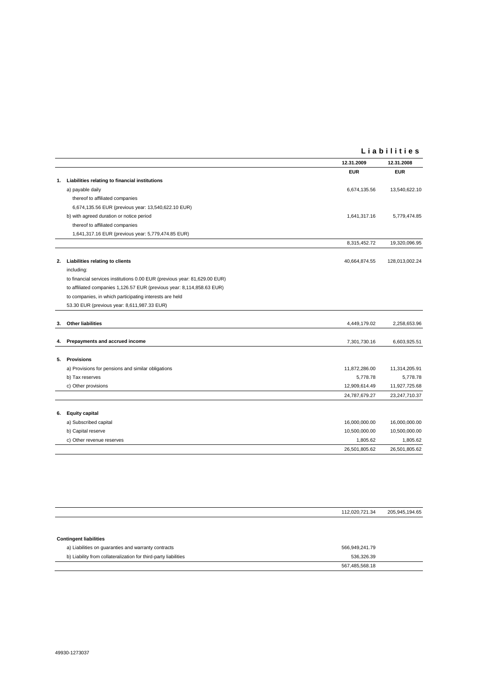### **L i a b i l i t i e s**

| <b>EUR</b><br><b>EUR</b><br>Liabilities relating to financial institutions<br>1.<br>a) payable daily<br>6,674,135.56<br>13,540,622.10<br>thereof to affiliated companies<br>6,674,135.56 EUR (previous year: 13,540,622.10 EUR)<br>b) with agreed duration or notice period<br>1,641,317.16<br>5,779,474.85<br>thereof to affiliated companies<br>1,641,317.16 EUR (previous year: 5,779,474.85 EUR)<br>8,315,452.72<br>19,320,096.95<br>Liabilities relating to clients<br>2.<br>40,664,874.55<br>128,013,002.24<br>including:<br>to financial services institutions 0.00 EUR (previous year: 81,629.00 EUR)<br>to affiliated companies 1,126.57 EUR (previous year: 8,114,858.63 EUR)<br>to companies, in which participating interests are held<br>53.30 EUR (previous year: 8,611,987.33 EUR)<br><b>Other liabilities</b><br>4,449,179.02<br>2,258,653.96<br>3.<br>Prepayments and accrued income<br>7,301,730.16<br>6,603,925.51<br>4.<br><b>Provisions</b><br>5.<br>a) Provisions for pensions and similar obligations<br>11,314,205.91<br>11,872,286.00<br>b) Tax reserves<br>5,778.78<br>5,778.78<br>c) Other provisions<br>12,909,614.49<br>11,927,725.68<br>23,247,710.37<br>24,787,679.27<br><b>Equity capital</b><br>6.<br>a) Subscribed capital<br>16,000,000.00<br>16,000,000.00<br>b) Capital reserve<br>10,500,000.00<br>10,500,000.00<br>1,805.62<br>1,805.62<br>c) Other revenue reserves<br>26,501,805.62<br>26,501,805.62 |  | 12.31.2009 | 12.31.2008 |
|-----------------------------------------------------------------------------------------------------------------------------------------------------------------------------------------------------------------------------------------------------------------------------------------------------------------------------------------------------------------------------------------------------------------------------------------------------------------------------------------------------------------------------------------------------------------------------------------------------------------------------------------------------------------------------------------------------------------------------------------------------------------------------------------------------------------------------------------------------------------------------------------------------------------------------------------------------------------------------------------------------------------------------------------------------------------------------------------------------------------------------------------------------------------------------------------------------------------------------------------------------------------------------------------------------------------------------------------------------------------------------------------------------------------------------------------------|--|------------|------------|
|                                                                                                                                                                                                                                                                                                                                                                                                                                                                                                                                                                                                                                                                                                                                                                                                                                                                                                                                                                                                                                                                                                                                                                                                                                                                                                                                                                                                                                               |  |            |            |
|                                                                                                                                                                                                                                                                                                                                                                                                                                                                                                                                                                                                                                                                                                                                                                                                                                                                                                                                                                                                                                                                                                                                                                                                                                                                                                                                                                                                                                               |  |            |            |
|                                                                                                                                                                                                                                                                                                                                                                                                                                                                                                                                                                                                                                                                                                                                                                                                                                                                                                                                                                                                                                                                                                                                                                                                                                                                                                                                                                                                                                               |  |            |            |
|                                                                                                                                                                                                                                                                                                                                                                                                                                                                                                                                                                                                                                                                                                                                                                                                                                                                                                                                                                                                                                                                                                                                                                                                                                                                                                                                                                                                                                               |  |            |            |
|                                                                                                                                                                                                                                                                                                                                                                                                                                                                                                                                                                                                                                                                                                                                                                                                                                                                                                                                                                                                                                                                                                                                                                                                                                                                                                                                                                                                                                               |  |            |            |
|                                                                                                                                                                                                                                                                                                                                                                                                                                                                                                                                                                                                                                                                                                                                                                                                                                                                                                                                                                                                                                                                                                                                                                                                                                                                                                                                                                                                                                               |  |            |            |
|                                                                                                                                                                                                                                                                                                                                                                                                                                                                                                                                                                                                                                                                                                                                                                                                                                                                                                                                                                                                                                                                                                                                                                                                                                                                                                                                                                                                                                               |  |            |            |
|                                                                                                                                                                                                                                                                                                                                                                                                                                                                                                                                                                                                                                                                                                                                                                                                                                                                                                                                                                                                                                                                                                                                                                                                                                                                                                                                                                                                                                               |  |            |            |
|                                                                                                                                                                                                                                                                                                                                                                                                                                                                                                                                                                                                                                                                                                                                                                                                                                                                                                                                                                                                                                                                                                                                                                                                                                                                                                                                                                                                                                               |  |            |            |
|                                                                                                                                                                                                                                                                                                                                                                                                                                                                                                                                                                                                                                                                                                                                                                                                                                                                                                                                                                                                                                                                                                                                                                                                                                                                                                                                                                                                                                               |  |            |            |
|                                                                                                                                                                                                                                                                                                                                                                                                                                                                                                                                                                                                                                                                                                                                                                                                                                                                                                                                                                                                                                                                                                                                                                                                                                                                                                                                                                                                                                               |  |            |            |
|                                                                                                                                                                                                                                                                                                                                                                                                                                                                                                                                                                                                                                                                                                                                                                                                                                                                                                                                                                                                                                                                                                                                                                                                                                                                                                                                                                                                                                               |  |            |            |
|                                                                                                                                                                                                                                                                                                                                                                                                                                                                                                                                                                                                                                                                                                                                                                                                                                                                                                                                                                                                                                                                                                                                                                                                                                                                                                                                                                                                                                               |  |            |            |
|                                                                                                                                                                                                                                                                                                                                                                                                                                                                                                                                                                                                                                                                                                                                                                                                                                                                                                                                                                                                                                                                                                                                                                                                                                                                                                                                                                                                                                               |  |            |            |
|                                                                                                                                                                                                                                                                                                                                                                                                                                                                                                                                                                                                                                                                                                                                                                                                                                                                                                                                                                                                                                                                                                                                                                                                                                                                                                                                                                                                                                               |  |            |            |
|                                                                                                                                                                                                                                                                                                                                                                                                                                                                                                                                                                                                                                                                                                                                                                                                                                                                                                                                                                                                                                                                                                                                                                                                                                                                                                                                                                                                                                               |  |            |            |
|                                                                                                                                                                                                                                                                                                                                                                                                                                                                                                                                                                                                                                                                                                                                                                                                                                                                                                                                                                                                                                                                                                                                                                                                                                                                                                                                                                                                                                               |  |            |            |
|                                                                                                                                                                                                                                                                                                                                                                                                                                                                                                                                                                                                                                                                                                                                                                                                                                                                                                                                                                                                                                                                                                                                                                                                                                                                                                                                                                                                                                               |  |            |            |
|                                                                                                                                                                                                                                                                                                                                                                                                                                                                                                                                                                                                                                                                                                                                                                                                                                                                                                                                                                                                                                                                                                                                                                                                                                                                                                                                                                                                                                               |  |            |            |
|                                                                                                                                                                                                                                                                                                                                                                                                                                                                                                                                                                                                                                                                                                                                                                                                                                                                                                                                                                                                                                                                                                                                                                                                                                                                                                                                                                                                                                               |  |            |            |
|                                                                                                                                                                                                                                                                                                                                                                                                                                                                                                                                                                                                                                                                                                                                                                                                                                                                                                                                                                                                                                                                                                                                                                                                                                                                                                                                                                                                                                               |  |            |            |
|                                                                                                                                                                                                                                                                                                                                                                                                                                                                                                                                                                                                                                                                                                                                                                                                                                                                                                                                                                                                                                                                                                                                                                                                                                                                                                                                                                                                                                               |  |            |            |
|                                                                                                                                                                                                                                                                                                                                                                                                                                                                                                                                                                                                                                                                                                                                                                                                                                                                                                                                                                                                                                                                                                                                                                                                                                                                                                                                                                                                                                               |  |            |            |
|                                                                                                                                                                                                                                                                                                                                                                                                                                                                                                                                                                                                                                                                                                                                                                                                                                                                                                                                                                                                                                                                                                                                                                                                                                                                                                                                                                                                                                               |  |            |            |
|                                                                                                                                                                                                                                                                                                                                                                                                                                                                                                                                                                                                                                                                                                                                                                                                                                                                                                                                                                                                                                                                                                                                                                                                                                                                                                                                                                                                                                               |  |            |            |
|                                                                                                                                                                                                                                                                                                                                                                                                                                                                                                                                                                                                                                                                                                                                                                                                                                                                                                                                                                                                                                                                                                                                                                                                                                                                                                                                                                                                                                               |  |            |            |
|                                                                                                                                                                                                                                                                                                                                                                                                                                                                                                                                                                                                                                                                                                                                                                                                                                                                                                                                                                                                                                                                                                                                                                                                                                                                                                                                                                                                                                               |  |            |            |
|                                                                                                                                                                                                                                                                                                                                                                                                                                                                                                                                                                                                                                                                                                                                                                                                                                                                                                                                                                                                                                                                                                                                                                                                                                                                                                                                                                                                                                               |  |            |            |
|                                                                                                                                                                                                                                                                                                                                                                                                                                                                                                                                                                                                                                                                                                                                                                                                                                                                                                                                                                                                                                                                                                                                                                                                                                                                                                                                                                                                                                               |  |            |            |
|                                                                                                                                                                                                                                                                                                                                                                                                                                                                                                                                                                                                                                                                                                                                                                                                                                                                                                                                                                                                                                                                                                                                                                                                                                                                                                                                                                                                                                               |  |            |            |
|                                                                                                                                                                                                                                                                                                                                                                                                                                                                                                                                                                                                                                                                                                                                                                                                                                                                                                                                                                                                                                                                                                                                                                                                                                                                                                                                                                                                                                               |  |            |            |

|                                                                 | 112,020,721.34 | 205,945,194.65 |
|-----------------------------------------------------------------|----------------|----------------|
|                                                                 |                |                |
|                                                                 |                |                |
| <b>Contingent liabilities</b>                                   |                |                |
| a) Liabilities on guaranties and warranty contracts             | 566,949,241.79 |                |
| b) Liability from collateralization for third-party liabilities | 536,326.39     |                |
|                                                                 | 567,485,568.18 |                |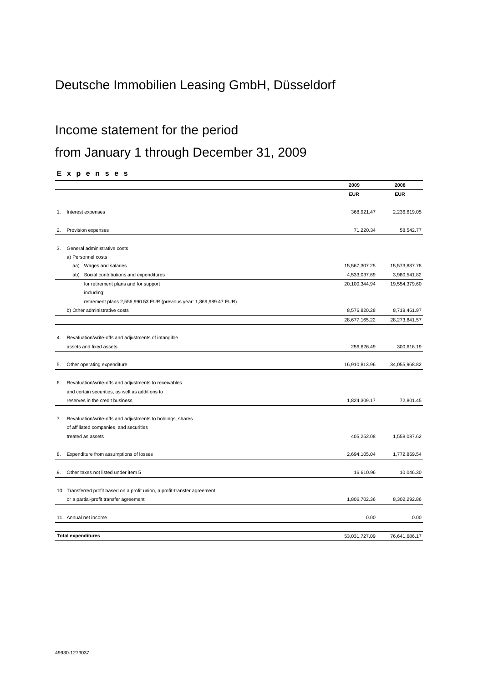# Deutsche Immobilien Leasing GmbH, Düsseldorf

# Income statement for the period

# from January 1 through December 31, 2009

**E x p e n s e s**

| <b>EUR</b><br><b>EUR</b><br>368,921.47<br>2,236,619.05<br>Interest expenses<br>1.<br>Provision expenses<br>71,220.34<br>58,542.77<br>2.<br>General administrative costs<br>3.<br>a) Personnel costs<br>aa) Wages and salaries<br>15,567,307.25<br>15,573,837.78<br>Social contributions and expenditures<br>4,533,037.69<br>ab)<br>3,980,541.82<br>for retirement plans and for support<br>20,100,344.94<br>19,554,379.60<br>including:<br>retirement plans 2,556,990.53 EUR (previous year: 1,869,989.47 EUR)<br>b) Other administrative costs<br>8,576,820.28<br>8,719,461.97<br>28,677,165.22<br>28,273,841.57<br>Revaluation/write-offs and adjustments of intangible<br>4.<br>assets and fixed assets<br>256,626.49<br>300,616.19<br>16,910,813.96<br>34,055,968.82<br>Other operating expenditure<br>5.<br>Revaluation/write-offs and adjustments to receivables<br>6.<br>and certain securities, as well as additions to<br>reserves in the credit business<br>1,824,309.17<br>72,801.45<br>Revaluation/write-offs and adjustments to holdings, shares<br>7.<br>of affiliated companies, and securities<br>treated as assets<br>405,252.08<br>1,558,087.62<br>Expenditure from assumptions of losses<br>2,694,105.04<br>1,772,869.54<br>8.<br>Other taxes not listed under item 5<br>16.610.96<br>10.046.30<br>9.<br>10. Transferred profit based on a profit union, a profit-transfer agreement,<br>1,806,702.36<br>8,302,292.86<br>or a partial-profit transfer agreement<br>11. Annual net income<br>0.00<br>0.00<br>76,641,686.17<br><b>Total expenditures</b><br>53,031,727.09 |  | 2009 | 2008 |
|--------------------------------------------------------------------------------------------------------------------------------------------------------------------------------------------------------------------------------------------------------------------------------------------------------------------------------------------------------------------------------------------------------------------------------------------------------------------------------------------------------------------------------------------------------------------------------------------------------------------------------------------------------------------------------------------------------------------------------------------------------------------------------------------------------------------------------------------------------------------------------------------------------------------------------------------------------------------------------------------------------------------------------------------------------------------------------------------------------------------------------------------------------------------------------------------------------------------------------------------------------------------------------------------------------------------------------------------------------------------------------------------------------------------------------------------------------------------------------------------------------------------------------------------------------------------------------------------|--|------|------|
|                                                                                                                                                                                                                                                                                                                                                                                                                                                                                                                                                                                                                                                                                                                                                                                                                                                                                                                                                                                                                                                                                                                                                                                                                                                                                                                                                                                                                                                                                                                                                                                            |  |      |      |
|                                                                                                                                                                                                                                                                                                                                                                                                                                                                                                                                                                                                                                                                                                                                                                                                                                                                                                                                                                                                                                                                                                                                                                                                                                                                                                                                                                                                                                                                                                                                                                                            |  |      |      |
|                                                                                                                                                                                                                                                                                                                                                                                                                                                                                                                                                                                                                                                                                                                                                                                                                                                                                                                                                                                                                                                                                                                                                                                                                                                                                                                                                                                                                                                                                                                                                                                            |  |      |      |
|                                                                                                                                                                                                                                                                                                                                                                                                                                                                                                                                                                                                                                                                                                                                                                                                                                                                                                                                                                                                                                                                                                                                                                                                                                                                                                                                                                                                                                                                                                                                                                                            |  |      |      |
|                                                                                                                                                                                                                                                                                                                                                                                                                                                                                                                                                                                                                                                                                                                                                                                                                                                                                                                                                                                                                                                                                                                                                                                                                                                                                                                                                                                                                                                                                                                                                                                            |  |      |      |
|                                                                                                                                                                                                                                                                                                                                                                                                                                                                                                                                                                                                                                                                                                                                                                                                                                                                                                                                                                                                                                                                                                                                                                                                                                                                                                                                                                                                                                                                                                                                                                                            |  |      |      |
|                                                                                                                                                                                                                                                                                                                                                                                                                                                                                                                                                                                                                                                                                                                                                                                                                                                                                                                                                                                                                                                                                                                                                                                                                                                                                                                                                                                                                                                                                                                                                                                            |  |      |      |
|                                                                                                                                                                                                                                                                                                                                                                                                                                                                                                                                                                                                                                                                                                                                                                                                                                                                                                                                                                                                                                                                                                                                                                                                                                                                                                                                                                                                                                                                                                                                                                                            |  |      |      |
|                                                                                                                                                                                                                                                                                                                                                                                                                                                                                                                                                                                                                                                                                                                                                                                                                                                                                                                                                                                                                                                                                                                                                                                                                                                                                                                                                                                                                                                                                                                                                                                            |  |      |      |
|                                                                                                                                                                                                                                                                                                                                                                                                                                                                                                                                                                                                                                                                                                                                                                                                                                                                                                                                                                                                                                                                                                                                                                                                                                                                                                                                                                                                                                                                                                                                                                                            |  |      |      |
|                                                                                                                                                                                                                                                                                                                                                                                                                                                                                                                                                                                                                                                                                                                                                                                                                                                                                                                                                                                                                                                                                                                                                                                                                                                                                                                                                                                                                                                                                                                                                                                            |  |      |      |
|                                                                                                                                                                                                                                                                                                                                                                                                                                                                                                                                                                                                                                                                                                                                                                                                                                                                                                                                                                                                                                                                                                                                                                                                                                                                                                                                                                                                                                                                                                                                                                                            |  |      |      |
|                                                                                                                                                                                                                                                                                                                                                                                                                                                                                                                                                                                                                                                                                                                                                                                                                                                                                                                                                                                                                                                                                                                                                                                                                                                                                                                                                                                                                                                                                                                                                                                            |  |      |      |
|                                                                                                                                                                                                                                                                                                                                                                                                                                                                                                                                                                                                                                                                                                                                                                                                                                                                                                                                                                                                                                                                                                                                                                                                                                                                                                                                                                                                                                                                                                                                                                                            |  |      |      |
|                                                                                                                                                                                                                                                                                                                                                                                                                                                                                                                                                                                                                                                                                                                                                                                                                                                                                                                                                                                                                                                                                                                                                                                                                                                                                                                                                                                                                                                                                                                                                                                            |  |      |      |
|                                                                                                                                                                                                                                                                                                                                                                                                                                                                                                                                                                                                                                                                                                                                                                                                                                                                                                                                                                                                                                                                                                                                                                                                                                                                                                                                                                                                                                                                                                                                                                                            |  |      |      |
|                                                                                                                                                                                                                                                                                                                                                                                                                                                                                                                                                                                                                                                                                                                                                                                                                                                                                                                                                                                                                                                                                                                                                                                                                                                                                                                                                                                                                                                                                                                                                                                            |  |      |      |
|                                                                                                                                                                                                                                                                                                                                                                                                                                                                                                                                                                                                                                                                                                                                                                                                                                                                                                                                                                                                                                                                                                                                                                                                                                                                                                                                                                                                                                                                                                                                                                                            |  |      |      |
|                                                                                                                                                                                                                                                                                                                                                                                                                                                                                                                                                                                                                                                                                                                                                                                                                                                                                                                                                                                                                                                                                                                                                                                                                                                                                                                                                                                                                                                                                                                                                                                            |  |      |      |
|                                                                                                                                                                                                                                                                                                                                                                                                                                                                                                                                                                                                                                                                                                                                                                                                                                                                                                                                                                                                                                                                                                                                                                                                                                                                                                                                                                                                                                                                                                                                                                                            |  |      |      |
|                                                                                                                                                                                                                                                                                                                                                                                                                                                                                                                                                                                                                                                                                                                                                                                                                                                                                                                                                                                                                                                                                                                                                                                                                                                                                                                                                                                                                                                                                                                                                                                            |  |      |      |
|                                                                                                                                                                                                                                                                                                                                                                                                                                                                                                                                                                                                                                                                                                                                                                                                                                                                                                                                                                                                                                                                                                                                                                                                                                                                                                                                                                                                                                                                                                                                                                                            |  |      |      |
|                                                                                                                                                                                                                                                                                                                                                                                                                                                                                                                                                                                                                                                                                                                                                                                                                                                                                                                                                                                                                                                                                                                                                                                                                                                                                                                                                                                                                                                                                                                                                                                            |  |      |      |
|                                                                                                                                                                                                                                                                                                                                                                                                                                                                                                                                                                                                                                                                                                                                                                                                                                                                                                                                                                                                                                                                                                                                                                                                                                                                                                                                                                                                                                                                                                                                                                                            |  |      |      |
|                                                                                                                                                                                                                                                                                                                                                                                                                                                                                                                                                                                                                                                                                                                                                                                                                                                                                                                                                                                                                                                                                                                                                                                                                                                                                                                                                                                                                                                                                                                                                                                            |  |      |      |
|                                                                                                                                                                                                                                                                                                                                                                                                                                                                                                                                                                                                                                                                                                                                                                                                                                                                                                                                                                                                                                                                                                                                                                                                                                                                                                                                                                                                                                                                                                                                                                                            |  |      |      |
|                                                                                                                                                                                                                                                                                                                                                                                                                                                                                                                                                                                                                                                                                                                                                                                                                                                                                                                                                                                                                                                                                                                                                                                                                                                                                                                                                                                                                                                                                                                                                                                            |  |      |      |
|                                                                                                                                                                                                                                                                                                                                                                                                                                                                                                                                                                                                                                                                                                                                                                                                                                                                                                                                                                                                                                                                                                                                                                                                                                                                                                                                                                                                                                                                                                                                                                                            |  |      |      |
|                                                                                                                                                                                                                                                                                                                                                                                                                                                                                                                                                                                                                                                                                                                                                                                                                                                                                                                                                                                                                                                                                                                                                                                                                                                                                                                                                                                                                                                                                                                                                                                            |  |      |      |
|                                                                                                                                                                                                                                                                                                                                                                                                                                                                                                                                                                                                                                                                                                                                                                                                                                                                                                                                                                                                                                                                                                                                                                                                                                                                                                                                                                                                                                                                                                                                                                                            |  |      |      |
|                                                                                                                                                                                                                                                                                                                                                                                                                                                                                                                                                                                                                                                                                                                                                                                                                                                                                                                                                                                                                                                                                                                                                                                                                                                                                                                                                                                                                                                                                                                                                                                            |  |      |      |
|                                                                                                                                                                                                                                                                                                                                                                                                                                                                                                                                                                                                                                                                                                                                                                                                                                                                                                                                                                                                                                                                                                                                                                                                                                                                                                                                                                                                                                                                                                                                                                                            |  |      |      |
|                                                                                                                                                                                                                                                                                                                                                                                                                                                                                                                                                                                                                                                                                                                                                                                                                                                                                                                                                                                                                                                                                                                                                                                                                                                                                                                                                                                                                                                                                                                                                                                            |  |      |      |
|                                                                                                                                                                                                                                                                                                                                                                                                                                                                                                                                                                                                                                                                                                                                                                                                                                                                                                                                                                                                                                                                                                                                                                                                                                                                                                                                                                                                                                                                                                                                                                                            |  |      |      |
|                                                                                                                                                                                                                                                                                                                                                                                                                                                                                                                                                                                                                                                                                                                                                                                                                                                                                                                                                                                                                                                                                                                                                                                                                                                                                                                                                                                                                                                                                                                                                                                            |  |      |      |
|                                                                                                                                                                                                                                                                                                                                                                                                                                                                                                                                                                                                                                                                                                                                                                                                                                                                                                                                                                                                                                                                                                                                                                                                                                                                                                                                                                                                                                                                                                                                                                                            |  |      |      |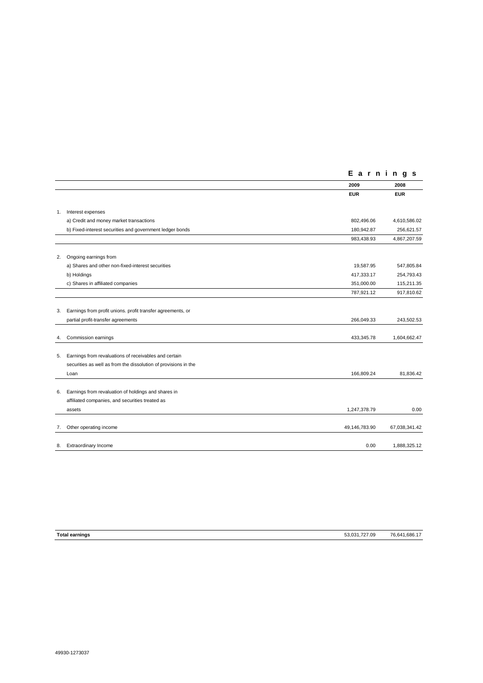|    |                                                                 | Earnings      |               |
|----|-----------------------------------------------------------------|---------------|---------------|
|    |                                                                 | 2009          | 2008          |
|    |                                                                 | <b>EUR</b>    | <b>EUR</b>    |
| 1. | Interest expenses                                               |               |               |
|    | a) Credit and money market transactions                         | 802,496.06    | 4,610,586.02  |
|    | b) Fixed-interest securities and government ledger bonds        | 180,942.87    | 256,621.57    |
|    |                                                                 | 983,438.93    | 4,867,207.59  |
| 2. | Ongoing earnings from                                           |               |               |
|    | a) Shares and other non-fixed-interest securities               | 19,587.95     | 547,805.84    |
|    | b) Holdings                                                     | 417,333.17    | 254,793.43    |
|    | c) Shares in affiliated companies                               | 351,000.00    | 115,211.35    |
|    |                                                                 | 787,921.12    | 917,810.62    |
| 3. | Earnings from profit unions. profit transfer agreements, or     |               |               |
|    | partial profit-transfer agreements                              | 266,049.33    | 243,502.53    |
| 4. | Commission earnings                                             | 433,345.78    | 1,604,662.47  |
| 5. | Earnings from revaluations of receivables and certain           |               |               |
|    | securities as well as from the dissolution of provisions in the |               |               |
|    | Loan                                                            | 166,809.24    | 81,836.42     |
| 6. | Earnings from revaluation of holdings and shares in             |               |               |
|    | affiliated companies, and securities treated as                 |               |               |
|    | assets                                                          | 1,247,378.79  | 0.00          |
| 7. | Other operating income                                          | 49,146,783.90 | 67,038,341.42 |
| 8. | Extraordinary Income                                            | 0.00          | 1,888,325.12  |

| <b>Total earnings</b> | 53.031.727.09 | .1.686.1<br>76.641 |
|-----------------------|---------------|--------------------|
|                       |               |                    |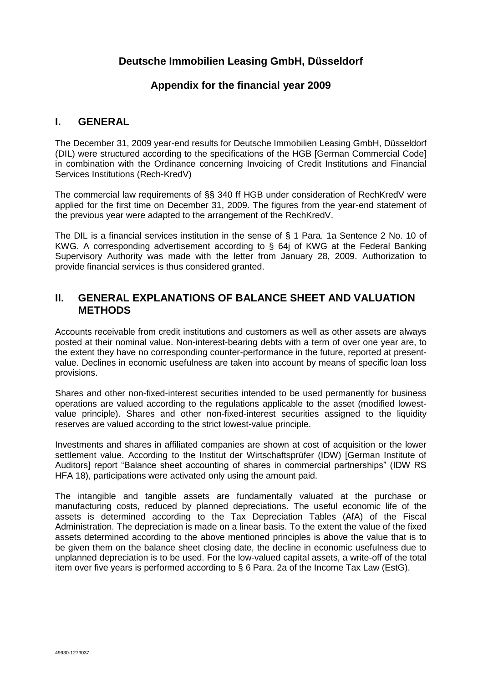# **Deutsche Immobilien Leasing GmbH, Düsseldorf**

# **Appendix for the financial year 2009**

### **I. GENERAL**

The December 31, 2009 year-end results for Deutsche Immobilien Leasing GmbH, Düsseldorf (DIL) were structured according to the specifications of the HGB [German Commercial Code] in combination with the Ordinance concerning Invoicing of Credit Institutions and Financial Services Institutions (Rech-KredV)

The commercial law requirements of §§ 340 ff HGB under consideration of RechKredV were applied for the first time on December 31, 2009. The figures from the year-end statement of the previous year were adapted to the arrangement of the RechKredV.

The DIL is a financial services institution in the sense of § 1 Para. 1a Sentence 2 No. 10 of KWG. A corresponding advertisement according to § 64j of KWG at the Federal Banking Supervisory Authority was made with the letter from January 28, 2009. Authorization to provide financial services is thus considered granted.

# **II. GENERAL EXPLANATIONS OF BALANCE SHEET AND VALUATION METHODS**

Accounts receivable from credit institutions and customers as well as other assets are always posted at their nominal value. Non-interest-bearing debts with a term of over one year are, to the extent they have no corresponding counter-performance in the future, reported at presentvalue. Declines in economic usefulness are taken into account by means of specific loan loss provisions.

Shares and other non-fixed-interest securities intended to be used permanently for business operations are valued according to the regulations applicable to the asset (modified lowestvalue principle). Shares and other non-fixed-interest securities assigned to the liquidity reserves are valued according to the strict lowest-value principle.

Investments and shares in affiliated companies are shown at cost of acquisition or the lower settlement value. According to the Institut der Wirtschaftsprüfer (IDW) [German Institute of Auditors] report "Balance sheet accounting of shares in commercial partnerships" (IDW RS HFA 18), participations were activated only using the amount paid.

The intangible and tangible assets are fundamentally valuated at the purchase or manufacturing costs, reduced by planned depreciations. The useful economic life of the assets is determined according to the Tax Depreciation Tables (AfA) of the Fiscal Administration. The depreciation is made on a linear basis. To the extent the value of the fixed assets determined according to the above mentioned principles is above the value that is to be given them on the balance sheet closing date, the decline in economic usefulness due to unplanned depreciation is to be used. For the low-valued capital assets, a write-off of the total item over five years is performed according to § 6 Para. 2a of the Income Tax Law (EstG).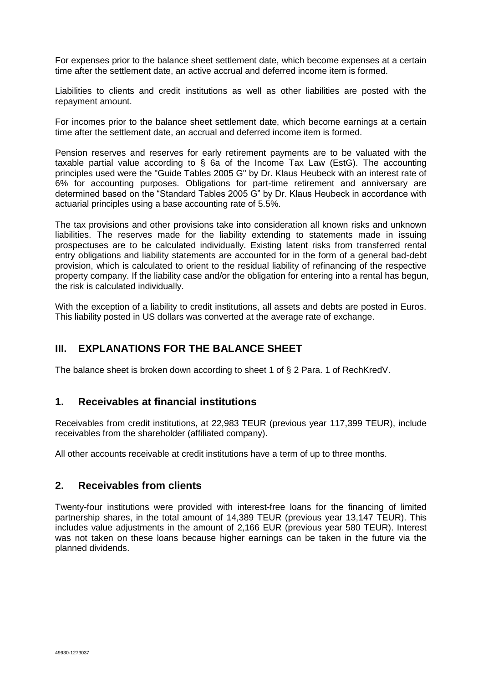For expenses prior to the balance sheet settlement date, which become expenses at a certain time after the settlement date, an active accrual and deferred income item is formed.

Liabilities to clients and credit institutions as well as other liabilities are posted with the repayment amount.

For incomes prior to the balance sheet settlement date, which become earnings at a certain time after the settlement date, an accrual and deferred income item is formed.

Pension reserves and reserves for early retirement payments are to be valuated with the taxable partial value according to § 6a of the Income Tax Law (EstG). The accounting principles used were the "Guide Tables 2005 G" by Dr. Klaus Heubeck with an interest rate of 6% for accounting purposes. Obligations for part-time retirement and anniversary are determined based on the "Standard Tables 2005 G" by Dr. Klaus Heubeck in accordance with actuarial principles using a base accounting rate of 5.5%.

The tax provisions and other provisions take into consideration all known risks and unknown liabilities. The reserves made for the liability extending to statements made in issuing prospectuses are to be calculated individually. Existing latent risks from transferred rental entry obligations and liability statements are accounted for in the form of a general bad-debt provision, which is calculated to orient to the residual liability of refinancing of the respective property company. If the liability case and/or the obligation for entering into a rental has begun, the risk is calculated individually.

With the exception of a liability to credit institutions, all assets and debts are posted in Euros. This liability posted in US dollars was converted at the average rate of exchange.

# **III. EXPLANATIONS FOR THE BALANCE SHEET**

The balance sheet is broken down according to sheet 1 of § 2 Para. 1 of RechKredV.

## **1. Receivables at financial institutions**

Receivables from credit institutions, at 22,983 TEUR (previous year 117,399 TEUR), include receivables from the shareholder (affiliated company).

All other accounts receivable at credit institutions have a term of up to three months.

## **2. Receivables from clients**

Twenty-four institutions were provided with interest-free loans for the financing of limited partnership shares, in the total amount of 14,389 TEUR (previous year 13,147 TEUR). This includes value adjustments in the amount of 2,166 EUR (previous year 580 TEUR). Interest was not taken on these loans because higher earnings can be taken in the future via the planned dividends.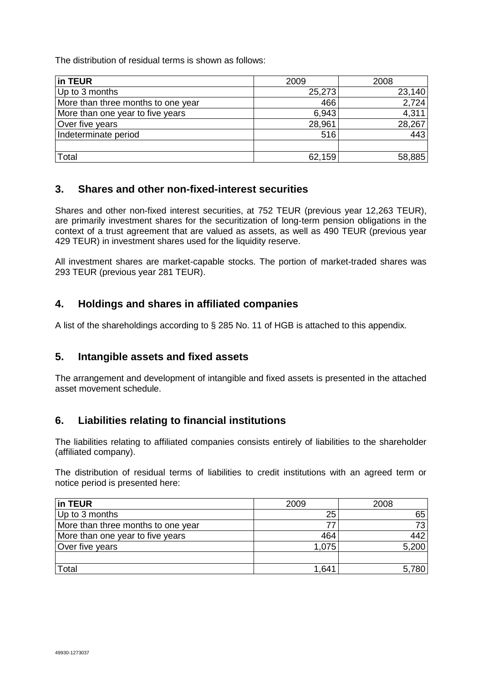The distribution of residual terms is shown as follows:

| in TEUR                            | 2009   | 2008   |
|------------------------------------|--------|--------|
| Up to 3 months                     | 25,273 | 23,140 |
| More than three months to one year | 466    | 2,724  |
| More than one year to five years   | 6,943  | 4,311  |
| Over five years                    | 28,961 | 28,267 |
| Indeterminate period               | 516    | 443    |
|                                    |        |        |
| Total                              | 62,159 | 58,885 |

# **3. Shares and other non-fixed-interest securities**

Shares and other non-fixed interest securities, at 752 TEUR (previous year 12,263 TEUR), are primarily investment shares for the securitization of long-term pension obligations in the context of a trust agreement that are valued as assets, as well as 490 TEUR (previous year 429 TEUR) in investment shares used for the liquidity reserve.

All investment shares are market-capable stocks. The portion of market-traded shares was 293 TEUR (previous year 281 TEUR).

# **4. Holdings and shares in affiliated companies**

A list of the shareholdings according to § 285 No. 11 of HGB is attached to this appendix.

# **5. Intangible assets and fixed assets**

The arrangement and development of intangible and fixed assets is presented in the attached asset movement schedule.

# **6. Liabilities relating to financial institutions**

The liabilities relating to affiliated companies consists entirely of liabilities to the shareholder (affiliated company).

The distribution of residual terms of liabilities to credit institutions with an agreed term or notice period is presented here:

| in TEUR                            | 2009  | 2008  |
|------------------------------------|-------|-------|
| Up to 3 months                     | 25    | 65    |
| More than three months to one year |       | 73    |
| More than one year to five years   | 464   | 442   |
| Over five years                    | 1,075 | 5,200 |
|                                    |       |       |
| Total                              | 1,641 | 5,780 |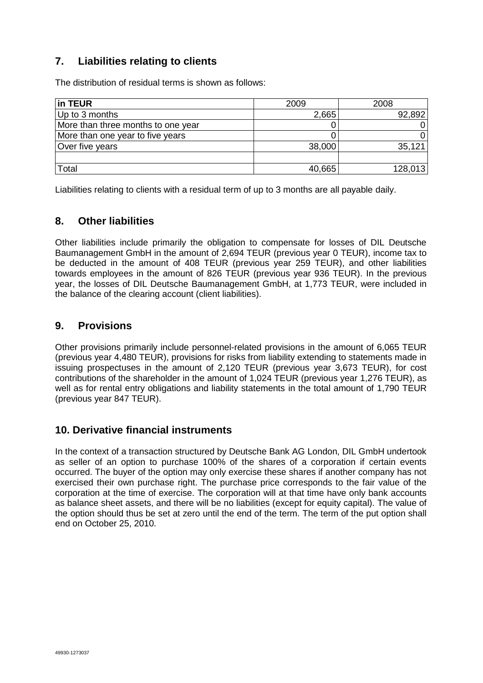# **7. Liabilities relating to clients**

The distribution of residual terms is shown as follows:

| in TEUR                            | 2009   | 2008    |
|------------------------------------|--------|---------|
| Up to 3 months                     | 2,665  | 92,892  |
| More than three months to one year |        |         |
| More than one year to five years   |        |         |
| Over five years                    | 38,000 | 35,121  |
|                                    |        |         |
| Total                              | 40,665 | 128,013 |

Liabilities relating to clients with a residual term of up to 3 months are all payable daily.

# **8. Other liabilities**

Other liabilities include primarily the obligation to compensate for losses of DIL Deutsche Baumanagement GmbH in the amount of 2,694 TEUR (previous year 0 TEUR), income tax to be deducted in the amount of 408 TEUR (previous year 259 TEUR), and other liabilities towards employees in the amount of 826 TEUR (previous year 936 TEUR). In the previous year, the losses of DIL Deutsche Baumanagement GmbH, at 1,773 TEUR, were included in the balance of the clearing account (client liabilities).

# **9. Provisions**

Other provisions primarily include personnel-related provisions in the amount of 6,065 TEUR (previous year 4,480 TEUR), provisions for risks from liability extending to statements made in issuing prospectuses in the amount of 2,120 TEUR (previous year 3,673 TEUR), for cost contributions of the shareholder in the amount of 1,024 TEUR (previous year 1,276 TEUR), as well as for rental entry obligations and liability statements in the total amount of 1,790 TEUR (previous year 847 TEUR).

# **10. Derivative financial instruments**

In the context of a transaction structured by Deutsche Bank AG London, DIL GmbH undertook as seller of an option to purchase 100% of the shares of a corporation if certain events occurred. The buyer of the option may only exercise these shares if another company has not exercised their own purchase right. The purchase price corresponds to the fair value of the corporation at the time of exercise. The corporation will at that time have only bank accounts as balance sheet assets, and there will be no liabilities (except for equity capital). The value of the option should thus be set at zero until the end of the term. The term of the put option shall end on October 25, 2010.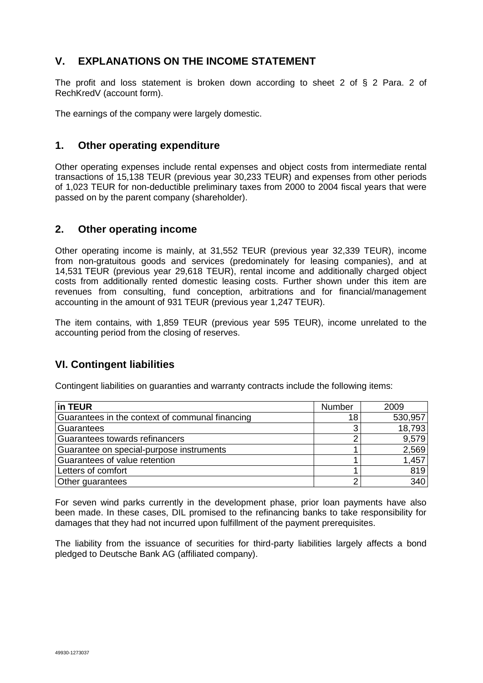# **V. EXPLANATIONS ON THE INCOME STATEMENT**

The profit and loss statement is broken down according to sheet 2 of § 2 Para. 2 of RechKredV (account form).

The earnings of the company were largely domestic.

# **1. Other operating expenditure**

Other operating expenses include rental expenses and object costs from intermediate rental transactions of 15,138 TEUR (previous year 30,233 TEUR) and expenses from other periods of 1,023 TEUR for non-deductible preliminary taxes from 2000 to 2004 fiscal years that were passed on by the parent company (shareholder).

## **2. Other operating income**

Other operating income is mainly, at 31,552 TEUR (previous year 32,339 TEUR), income from non-gratuitous goods and services (predominately for leasing companies), and at 14,531 TEUR (previous year 29,618 TEUR), rental income and additionally charged object costs from additionally rented domestic leasing costs. Further shown under this item are revenues from consulting, fund conception, arbitrations and for financial/management accounting in the amount of 931 TEUR (previous year 1,247 TEUR).

The item contains, with 1,859 TEUR (previous year 595 TEUR), income unrelated to the accounting period from the closing of reserves.

# **VI. Contingent liabilities**

Contingent liabilities on guaranties and warranty contracts include the following items:

| in TEUR                                         | <b>Number</b>   | 2009    |
|-------------------------------------------------|-----------------|---------|
| Guarantees in the context of communal financing | 18 <sub>1</sub> | 530,957 |
| Guarantees                                      | 3               | 18,793  |
| Guarantees towards refinancers                  |                 | 9,579   |
| Guarantee on special-purpose instruments        |                 | 2,569   |
| Guarantees of value retention                   |                 | 1,457   |
| Letters of comfort                              |                 | 819     |
| Other guarantees                                | ◠               | 340     |

For seven wind parks currently in the development phase, prior loan payments have also been made. In these cases, DIL promised to the refinancing banks to take responsibility for damages that they had not incurred upon fulfillment of the payment prerequisites.

The liability from the issuance of securities for third-party liabilities largely affects a bond pledged to Deutsche Bank AG (affiliated company).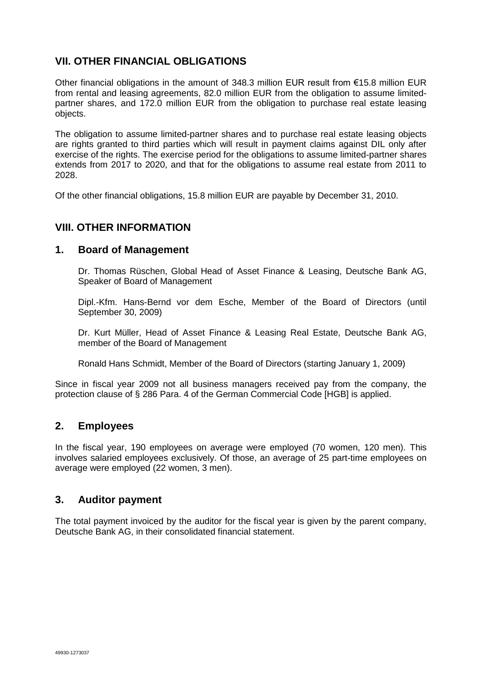# **VII. OTHER FINANCIAL OBLIGATIONS**

Other financial obligations in the amount of 348.3 million EUR result from €15.8 million EUR from rental and leasing agreements, 82.0 million EUR from the obligation to assume limitedpartner shares, and 172.0 million EUR from the obligation to purchase real estate leasing objects.

The obligation to assume limited-partner shares and to purchase real estate leasing objects are rights granted to third parties which will result in payment claims against DIL only after exercise of the rights. The exercise period for the obligations to assume limited-partner shares extends from 2017 to 2020, and that for the obligations to assume real estate from 2011 to 2028.

Of the other financial obligations, 15.8 million EUR are payable by December 31, 2010.

# **VIII. OTHER INFORMATION**

### **1. Board of Management**

Dr. Thomas Rüschen, Global Head of Asset Finance & Leasing, Deutsche Bank AG, Speaker of Board of Management

Dipl.-Kfm. Hans-Bernd vor dem Esche, Member of the Board of Directors (until September 30, 2009)

Dr. Kurt Müller, Head of Asset Finance & Leasing Real Estate, Deutsche Bank AG, member of the Board of Management

Ronald Hans Schmidt, Member of the Board of Directors (starting January 1, 2009)

Since in fiscal year 2009 not all business managers received pay from the company, the protection clause of § 286 Para. 4 of the German Commercial Code [HGB] is applied.

## **2. Employees**

In the fiscal year, 190 employees on average were employed (70 women, 120 men). This involves salaried employees exclusively. Of those, an average of 25 part-time employees on average were employed (22 women, 3 men).

## **3. Auditor payment**

The total payment invoiced by the auditor for the fiscal year is given by the parent company, Deutsche Bank AG, in their consolidated financial statement.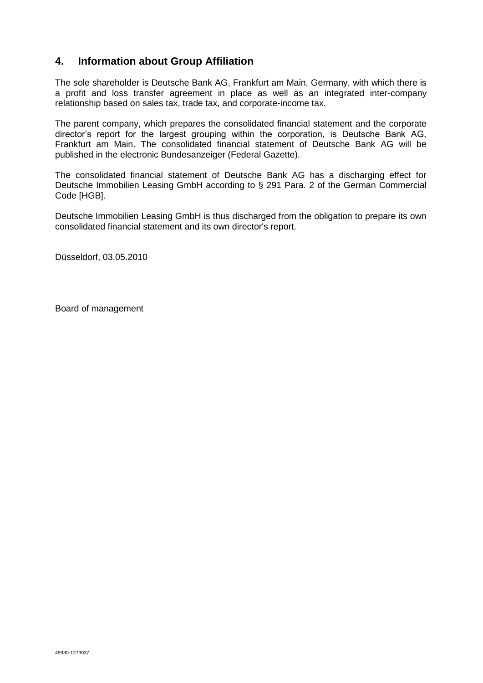# **4. Information about Group Affiliation**

The sole shareholder is Deutsche Bank AG, Frankfurt am Main, Germany, with which there is a profit and loss transfer agreement in place as well as an integrated inter-company relationship based on sales tax, trade tax, and corporate-income tax.

The parent company, which prepares the consolidated financial statement and the corporate director's report for the largest grouping within the corporation, is Deutsche Bank AG, Frankfurt am Main. The consolidated financial statement of Deutsche Bank AG will be published in the electronic Bundesanzeiger (Federal Gazette).

The consolidated financial statement of Deutsche Bank AG has a discharging effect for Deutsche Immobilien Leasing GmbH according to § 291 Para. 2 of the German Commercial Code [HGB].

Deutsche Immobilien Leasing GmbH is thus discharged from the obligation to prepare its own consolidated financial statement and its own director's report.

Düsseldorf, 03.05.2010

Board of management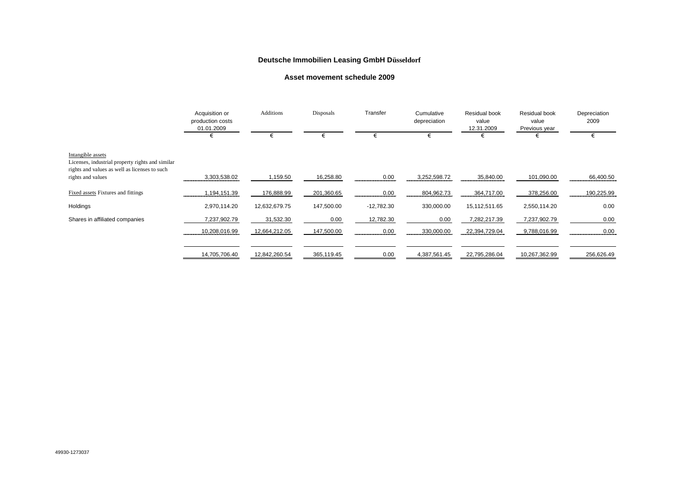### **Deutsche Immobilien Leasing GmbH Düsseldorf**

#### **Asset movement schedule 2009**

|                                                                                                                        | Acquisition or<br>production costs<br>01.01.2009 | <b>Additions</b> | Disposals  | Transfer     | Cumulative<br>depreciation | Residual book<br>value<br>12.31.2009 | Residual book<br>value<br>Previous year | Depreciation<br>2009 |
|------------------------------------------------------------------------------------------------------------------------|--------------------------------------------------|------------------|------------|--------------|----------------------------|--------------------------------------|-----------------------------------------|----------------------|
|                                                                                                                        | €                                                | €                |            |              | €                          | €                                    | €                                       | €                    |
| Intangible assets<br>Licenses, industrial property rights and similar<br>rights and values as well as licenses to such |                                                  |                  |            |              |                            |                                      |                                         |                      |
| rights and values                                                                                                      | 3.303.538.02                                     | ,159.50          | 16,258.80  | 0.00         | 3,252,598.72               | 35,840.00                            | 101,090.00                              | 66,400.50            |
| Fixed assets Fixtures and fittings                                                                                     | 1,194,151.39                                     | 176,888.99       | 201,360.65 | 0.00         | 804,962.73                 | 364,717.00                           | 378,256.00                              | 190,225.99           |
| Holdings                                                                                                               | 2,970,114.20                                     | 12,632,679.75    | 147,500.00 | $-12,782.30$ | 330,000.00                 | 15,112,511.65                        | 2,550,114.20                            | 0.00                 |
| Shares in affiliated companies                                                                                         | 7,237,902.79                                     | 31,532.30        | 0.00       | 12,782.30    | 0.00                       | 7,282,217.39                         | 7,237,902.79                            | 0.00                 |
|                                                                                                                        | 10,208,016.99                                    | 12,664,212.05    | 147,500.00 | 0.00<br>     | 330,000.00                 | 22,394,729.04                        | 9,788,016.99                            | 0.00                 |
|                                                                                                                        | 14,705,706.40                                    | 12,842,260.54    | 365,119.45 | 0.00         | 4,387,561.45               | 22,795,286.04                        | 10,267,362.99                           | 256,626.49           |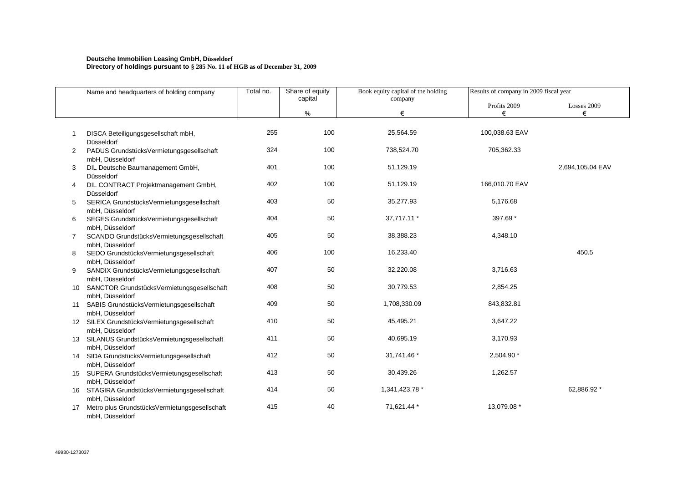#### **Deutsche Immobilien Leasing GmbH, Düsseldorf Directory of holdings pursuant to § 285 No. 11 of HGB as of December 31, 2009**

|    | Name and headquarters of holding company                                            | Total no. | Share of equity | Book equity capital of the holding | Results of company in 2009 fiscal year |                  |
|----|-------------------------------------------------------------------------------------|-----------|-----------------|------------------------------------|----------------------------------------|------------------|
|    |                                                                                     |           | capital<br>%    | company<br>€                       | Profits 2009<br>€                      | Losses 2009<br>€ |
|    |                                                                                     |           |                 |                                    |                                        |                  |
|    | DISCA Beteiligungsgesellschaft mbH,<br>Düsseldorf                                   | 255       | 100             | 25,564.59                          | 100,038.63 EAV                         |                  |
| 2  | PADUS GrundstücksVermietungsgesellschaft<br>mbH, Düsseldorf                         | 324       | 100             | 738,524.70                         | 705,362.33                             |                  |
| 3  | DIL Deutsche Baumanagement GmbH,<br>Düsseldorf                                      | 401       | 100             | 51,129.19                          |                                        | 2,694,105.04 EAV |
| 4  | DIL CONTRACT Projektmanagement GmbH,<br>Düsseldorf                                  | 402       | 100             | 51,129.19                          | 166,010.70 EAV                         |                  |
| 5  | SERICA GrundstücksVermietungsgesellschaft<br>mbH, Düsseldorf                        | 403       | 50              | 35,277.93                          | 5,176.68                               |                  |
| 6  | SEGES GrundstücksVermietungsgesellschaft<br>mbH, Düsseldorf                         | 404       | 50              | 37,717.11 *                        | 397.69 *                               |                  |
| 7  | SCANDO GrundstücksVermietungsgesellschaft<br>mbH, Düsseldorf                        | 405       | 50              | 38,388.23                          | 4,348.10                               |                  |
| 8  | SEDO GrundstücksVermietungsgesellschaft<br>mbH, Düsseldorf                          | 406       | 100             | 16,233.40                          |                                        | 450.5            |
| 9  | SANDIX GrundstücksVermietungsgesellschaft                                           | 407       | 50              | 32,220.08                          | 3,716.63                               |                  |
|    | mbH, Düsseldorf<br>10 SANCTOR GrundstücksVermietungsgesellschaft<br>mbH, Düsseldorf | 408       | 50              | 30,779.53                          | 2,854.25                               |                  |
| 11 | SABIS GrundstücksVermietungsgesellschaft<br>mbH, Düsseldorf                         | 409       | 50              | 1,708,330.09                       | 843,832.81                             |                  |
|    | 12 SILEX GrundstücksVermietungsgesellschaft<br>mbH, Düsseldorf                      | 410       | 50              | 45,495.21                          | 3,647.22                               |                  |
|    | 13 SILANUS GrundstücksVermietungsgesellschaft<br>mbH, Düsseldorf                    | 411       | 50              | 40,695.19                          | 3,170.93                               |                  |
|    | 14 SIDA GrundstücksVermietungsgesellschaft<br>mbH, Düsseldorf                       | 412       | 50              | 31,741.46 *                        | 2,504.90 *                             |                  |
|    | 15 SUPERA GrundstücksVermietungsgesellschaft<br>mbH, Düsseldorf                     | 413       | 50              | 30,439.26                          | 1,262.57                               |                  |
|    | 16 STAGIRA GrundstücksVermietungsgesellschaft                                       | 414       | 50              | 1,341,423.78 *                     |                                        | 62,886.92 *      |
| 17 | mbH, Düsseldorf<br>Metro plus GrundstücksVermietungsgesellschaft<br>mbH, Düsseldorf | 415       | 40              | 71,621.44 *                        | 13,079.08 *                            |                  |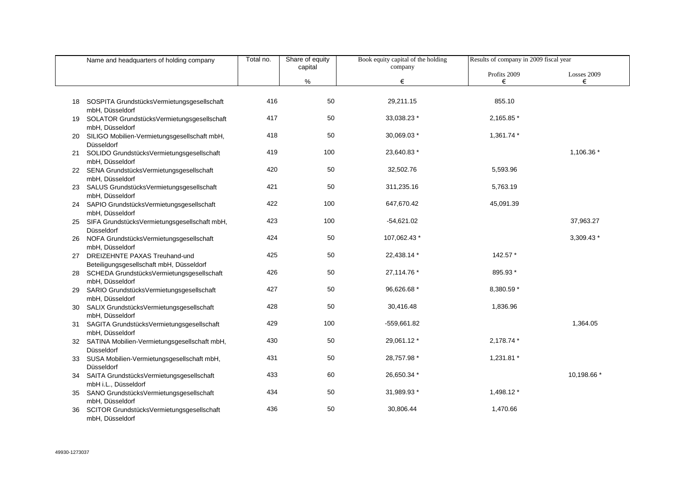|    | Name and headquarters of holding company                                     | Total no. | Share of equity<br>capital | Book equity capital of the holding | Results of company in 2009 fiscal year |             |
|----|------------------------------------------------------------------------------|-----------|----------------------------|------------------------------------|----------------------------------------|-------------|
|    |                                                                              |           |                            | company                            | Profits 2009                           | Losses 2009 |
|    |                                                                              |           | %                          | €                                  | €                                      | €           |
| 18 | SOSPITA GrundstücksVermietungsgesellschaft<br>mbH, Düsseldorf                | 416       | 50                         | 29,211.15                          | 855.10                                 |             |
| 19 | SOLATOR GrundstücksVermietungsgesellschaft<br>mbH, Düsseldorf                | 417       | 50                         | 33,038.23 *                        | 2,165.85 *                             |             |
|    | SILIGO Mobilien-Vermietungsgesellschaft mbH,<br>Düsseldorf                   | 418       | 50                         | 30,069.03 *                        | 1,361.74 *                             |             |
|    | 21 SOLIDO GrundstücksVermietungsgesellschaft<br>mbH, Düsseldorf              | 419       | 100                        | 23,640.83 *                        |                                        | 1,106.36 *  |
|    | 22 SENA GrundstücksVermietungsgesellschaft<br>mbH, Düsseldorf                | 420       | 50                         | 32,502.76                          | 5,593.96                               |             |
|    | 23 SALUS GrundstücksVermietungsgesellschaft<br>mbH, Düsseldorf               | 421       | 50                         | 311,235.16                         | 5,763.19                               |             |
|    | 24 SAPIO GrundstücksVermietungsgesellschaft<br>mbH, Düsseldorf               | 422       | 100                        | 647,670.42                         | 45,091.39                              |             |
|    | 25 SIFA GrundstücksVermietungsgesellschaft mbH,<br>Düsseldorf                | 423       | 100                        | $-54,621.02$                       |                                        | 37,963.27   |
|    | 26 NOFA GrundstücksVermietungsgesellschaft<br>mbH, Düsseldorf                | 424       | 50                         | 107,062.43 *                       |                                        | 3,309.43 *  |
|    | 27 DREIZEHNTE PAXAS Treuhand-und<br>Beteiligungsgesellschaft mbH, Düsseldorf | 425       | 50                         | 22,438.14 *                        | 142.57 *                               |             |
| 28 | SCHEDA GrundstücksVermietungsgesellschaft<br>mbH, Düsseldorf                 | 426       | 50                         | 27,114.76 *                        | 895.93 *                               |             |
| 29 | SARIO GrundstücksVermietungsgesellschaft<br>mbH, Düsseldorf                  | 427       | 50                         | 96,626.68 *                        | 8,380.59 *                             |             |
| 30 | SALIX GrundstücksVermietungsgesellschaft<br>mbH, Düsseldorf                  | 428       | 50                         | 30,416.48                          | 1,836.96                               |             |
| 31 | SAGITA GrundstücksVermietungsgesellschaft<br>mbH, Düsseldorf                 | 429       | 100                        | $-559,661.82$                      |                                        | 1,364.05    |
|    | 32 SATINA Mobilien-Vermietungsgesellschaft mbH,<br>Düsseldorf                | 430       | 50                         | 29,061.12 *                        | 2,178.74 *                             |             |
|    | 33 SUSA Mobilien-Vermietungsgesellschaft mbH,<br>Düsseldorf                  | 431       | 50                         | 28,757.98 *                        | 1,231.81 *                             |             |
| 34 | SAITA GrundstücksVermietungsgesellschaft<br>mbH i.L., Düsseldorf             | 433       | 60                         | 26,650.34 *                        |                                        | 10,198.66 * |
| 35 | SANO GrundstücksVermietungsgesellschaft<br>mbH, Düsseldorf                   | 434       | 50                         | 31,989.93 *                        | 1,498.12 *                             |             |
| 36 | SCITOR GrundstücksVermietungsgesellschaft<br>mbH, Düsseldorf                 | 436       | 50                         | 30,806.44                          | 1,470.66                               |             |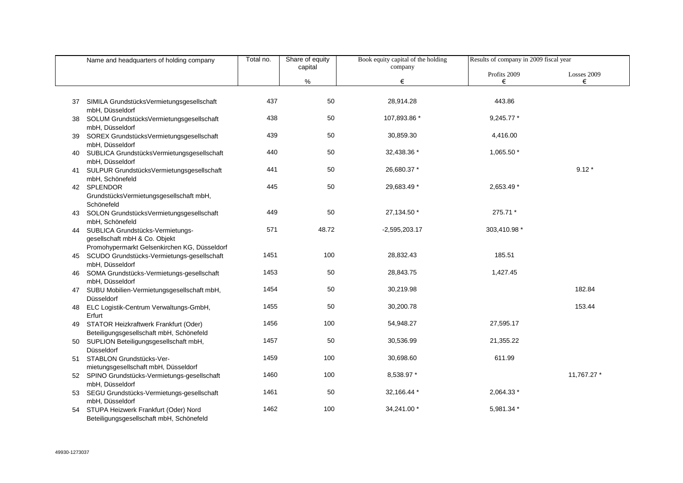|     | Name and headquarters of holding company                             | Total no. | Share of equity | Book equity capital of the holding | Results of company in 2009 fiscal year |             |
|-----|----------------------------------------------------------------------|-----------|-----------------|------------------------------------|----------------------------------------|-------------|
|     |                                                                      |           | capital         | company                            | Profits 2009                           | Losses 2009 |
|     |                                                                      |           | %               | €                                  | €                                      | €           |
|     |                                                                      |           |                 |                                    |                                        |             |
|     | 37 SIMILA GrundstücksVermietungsgesellschaft                         | 437       | 50              | 28,914.28                          | 443.86                                 |             |
|     | mbH, Düsseldorf                                                      | 438       | 50              | 107,893.86 *                       | 9,245.77 *                             |             |
| 38  | SOLUM GrundstücksVermietungsgesellschaft<br>mbH, Düsseldorf          |           |                 |                                    |                                        |             |
| 39. | SOREX GrundstücksVermietungsgesellschaft                             | 439       | 50              | 30,859.30                          | 4,416.00                               |             |
|     | mbH, Düsseldorf                                                      |           |                 |                                    |                                        |             |
| 40  | SUBLICA GrundstücksVermietungsgesellschaft                           | 440       | 50              | 32,438.36 *                        | 1,065.50 *                             |             |
|     | mbH, Düsseldorf                                                      | 441       | 50              | 26,680.37 *                        |                                        | $9.12*$     |
|     | 41 SULPUR GrundstücksVermietungsgesellschaft<br>mbH, Schönefeld      |           |                 |                                    |                                        |             |
|     | 42 SPLENDOR                                                          | 445       | 50              | 29,683.49 *                        | 2,653.49 *                             |             |
|     | GrundstücksVermietungsgesellschaft mbH,                              |           |                 |                                    |                                        |             |
|     | Schönefeld                                                           |           |                 |                                    |                                        |             |
|     | 43 SOLON GrundstücksVermietungsgesellschaft                          | 449       | 50              | 27,134.50 *                        | 275.71 *                               |             |
|     | mbH, Schönefeld                                                      | 571       | 48.72           | $-2,595,203.17$                    | 303,410.98 *                           |             |
|     | 44 SUBLICA Grundstücks-Vermietungs-<br>gesellschaft mbH & Co. Objekt |           |                 |                                    |                                        |             |
|     | Promohypermarkt Gelsenkirchen KG, Düsseldorf                         |           |                 |                                    |                                        |             |
|     | 45 SCUDO Grundstücks-Vermietungs-gesellschaft                        | 1451      | 100             | 28,832.43                          | 185.51                                 |             |
|     | mbH, Düsseldorf                                                      |           |                 |                                    |                                        |             |
| 46  | SOMA Grundstücks-Vermietungs-gesellschaft                            | 1453      | 50              | 28,843.75                          | 1,427.45                               |             |
|     | mbH, Düsseldorf<br>47 SUBU Mobilien-Vermietungsgesellschaft mbH,     | 1454      | 50              | 30,219.98                          |                                        | 182.84      |
|     | Düsseldorf                                                           |           |                 |                                    |                                        |             |
| 48  | ELC Logistik-Centrum Verwaltungs-GmbH,                               | 1455      | 50              | 30,200.78                          |                                        | 153.44      |
|     | Erfurt                                                               |           |                 |                                    |                                        |             |
| 49  | STATOR Heizkraftwerk Frankfurt (Oder)                                | 1456      | 100             | 54,948.27                          | 27,595.17                              |             |
|     | Beteiligungsgesellschaft mbH, Schönefeld                             | 1457      | 50              | 30,536.99                          | 21,355.22                              |             |
|     | 50 SUPLION Beteiligungsgesellschaft mbH,<br>Düsseldorf               |           |                 |                                    |                                        |             |
|     | 51 STABLON Grundstücks-Ver-                                          | 1459      | 100             | 30,698.60                          | 611.99                                 |             |
|     | mietungsgesellschaft mbH, Düsseldorf                                 |           |                 |                                    |                                        |             |
|     | 52 SPINO Grundstücks-Vermietungs-gesellschaft                        | 1460      | 100             | 8,538.97 *                         |                                        | 11,767.27 * |
|     | mbH, Düsseldorf                                                      |           |                 |                                    |                                        |             |
|     | 53 SEGU Grundstücks-Vermietungs-gesellschaft                         | 1461      | 50              | 32,166.44 *                        | 2,064.33 *                             |             |
|     | mbH, Düsseldorf<br>54 STUPA Heizwerk Frankfurt (Oder) Nord           | 1462      | 100             | 34,241.00 *                        | 5,981.34 *                             |             |
|     | Beteiligungsgesellschaft mbH, Schönefeld                             |           |                 |                                    |                                        |             |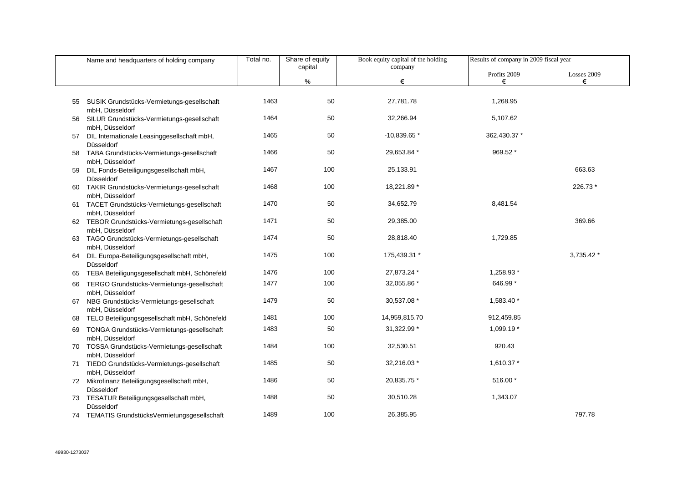|    | Name and headquarters of holding company                         | Total no. | Share of equity | Book equity capital of the holding | Results of company in 2009 fiscal year |             |
|----|------------------------------------------------------------------|-----------|-----------------|------------------------------------|----------------------------------------|-------------|
|    |                                                                  |           | capital         | company                            | Profits 2009                           | Losses 2009 |
|    |                                                                  |           | $\%$            | €                                  | €                                      | €           |
| 55 | SUSIK Grundstücks-Vermietungs-gesellschaft<br>mbH, Düsseldorf    | 1463      | 50              | 27,781.78                          | 1,268.95                               |             |
| 56 | SILUR Grundstücks-Vermietungs-gesellschaft<br>mbH, Düsseldorf    | 1464      | 50              | 32,266.94                          | 5,107.62                               |             |
| 57 | DIL Internationale Leasinggesellschaft mbH,<br>Düsseldorf        | 1465      | 50              | $-10,839.65*$                      | 362,430.37 *                           |             |
| 58 | TABA Grundstücks-Vermietungs-gesellschaft<br>mbH, Düsseldorf     | 1466      | 50              | 29,653.84 *                        | 969.52 *                               |             |
| 59 | DIL Fonds-Beteiligungsgesellschaft mbH,<br>Düsseldorf            | 1467      | 100             | 25,133.91                          |                                        | 663.63      |
| 60 | TAKIR Grundstücks-Vermietungs-gesellschaft<br>mbH, Düsseldorf    | 1468      | 100             | 18,221.89 *                        |                                        | 226.73 *    |
| 61 | TACET Grundstücks-Vermietungs-gesellschaft<br>mbH, Düsseldorf    | 1470      | 50              | 34,652.79                          | 8,481.54                               |             |
|    | 62 TEBOR Grundstücks-Vermietungs-gesellschaft<br>mbH, Düsseldorf | 1471      | 50              | 29,385.00                          |                                        | 369.66      |
|    | 63 TAGO Grundstücks-Vermietungs-gesellschaft<br>mbH, Düsseldorf  | 1474      | 50              | 28,818.40                          | 1,729.85                               |             |
|    | 64 DIL Europa-Beteiligungsgesellschaft mbH,<br>Düsseldorf        | 1475      | 100             | 175,439.31 *                       |                                        | 3,735.42 *  |
| 65 | TEBA Beteiligungsgesellschaft mbH, Schönefeld                    | 1476      | 100             | 27,873.24 *                        | 1,258.93 *                             |             |
| 66 | TERGO Grundstücks-Vermietungs-gesellschaft<br>mbH, Düsseldorf    | 1477      | 100             | 32,055.86 *                        | 646.99 *                               |             |
|    | 67 NBG Grundstücks-Vermietungs-gesellschaft<br>mbH, Düsseldorf   | 1479      | 50              | 30,537.08 *                        | 1,583.40 *                             |             |
| 68 | TELO Beteiligungsgesellschaft mbH, Schönefeld                    | 1481      | 100             | 14,959,815.70                      | 912,459.85                             |             |
| 69 | TONGA Grundstücks-Vermietungs-gesellschaft<br>mbH, Düsseldorf    | 1483      | 50              | 31,322.99 *                        | 1,099.19 *                             |             |
|    | 70 TOSSA Grundstücks-Vermietungs-gesellschaft<br>mbH, Düsseldorf | 1484      | 100             | 32,530.51                          | 920.43                                 |             |
|    | 71 TIEDO Grundstücks-Vermietungs-gesellschaft<br>mbH, Düsseldorf | 1485      | 50              | 32,216.03 *                        | 1,610.37 *                             |             |
|    | 72 Mikrofinanz Beteiligungsgesellschaft mbH,<br>Düsseldorf       | 1486      | 50              | 20,835.75 *                        | 516.00 *                               |             |
|    | 73 TESATUR Beteiligungsgesellschaft mbH,<br>Düsseldorf           | 1488      | 50              | 30,510.28                          | 1,343.07                               |             |
|    | 74 TEMATIS GrundstücksVermietungsgesellschaft                    | 1489      | 100             | 26,385.95                          |                                        | 797.78      |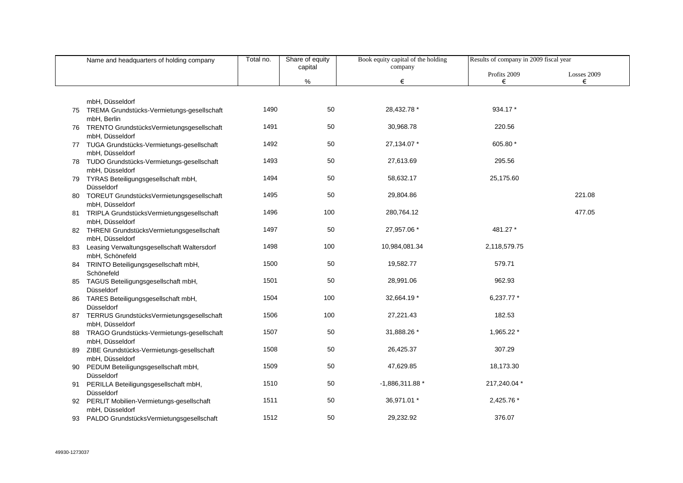|    | Name and headquarters of holding company                         | Total no. | Share of equity | Book equity capital of the holding | Results of company in 2009 fiscal year |             |
|----|------------------------------------------------------------------|-----------|-----------------|------------------------------------|----------------------------------------|-------------|
|    |                                                                  |           | capital         | company                            | Profits 2009                           | Losses 2009 |
|    |                                                                  |           | %               | €                                  | €                                      | €           |
|    |                                                                  |           |                 |                                    |                                        |             |
|    | mbH, Düsseldorf                                                  |           |                 |                                    |                                        |             |
|    | 75 TREMA Grundstücks-Vermietungs-gesellschaft                    | 1490      | 50              | 28,432.78 *                        | 934.17 *                               |             |
|    | mbH, Berlin                                                      |           |                 |                                    |                                        |             |
|    | 76 TRENTO GrundstücksVermietungsgesellschaft                     | 1491      | 50              | 30,968.78                          | 220.56                                 |             |
|    | mbH, Düsseldorf<br>77 TUGA Grundstücks-Vermietungs-gesellschaft  | 1492      | 50              | 27,134.07 *                        | 605.80 *                               |             |
|    | mbH, Düsseldorf                                                  |           |                 |                                    |                                        |             |
|    | 78 TUDO Grundstücks-Vermietungs-gesellschaft                     | 1493      | 50              | 27,613.69                          | 295.56                                 |             |
|    | mbH, Düsseldorf                                                  |           |                 |                                    |                                        |             |
|    | 79 TYRAS Beteiligungsgesellschaft mbH,                           | 1494      | 50              | 58,632.17                          | 25,175.60                              |             |
|    | Düsseldorf                                                       |           |                 |                                    |                                        |             |
|    | 80 TOREUT GrundstücksVermietungsgesellschaft                     | 1495      | 50              | 29,804.86                          |                                        | 221.08      |
|    | mbH, Düsseldorf<br>81 TRIPLA GrundstücksVermietungsgesellschaft  | 1496      | 100             | 280,764.12                         |                                        | 477.05      |
|    | mbH, Düsseldorf                                                  |           |                 |                                    |                                        |             |
|    | 82 THRENI GrundstücksVermietungsgesellschaft                     | 1497      | 50              | 27,957.06 *                        | 481.27 *                               |             |
|    | mbH, Düsseldorf                                                  |           |                 |                                    |                                        |             |
| 83 | Leasing Verwaltungsgesellschaft Waltersdorf                      | 1498      | 100             | 10,984,081.34                      | 2,118,579.75                           |             |
|    | mbH, Schönefeld                                                  |           |                 |                                    |                                        |             |
|    | 84 TRINTO Beteiligungsgesellschaft mbH,                          | 1500      | 50              | 19,582.77                          | 579.71                                 |             |
|    | Schönefeld<br>85 TAGUS Beteiligungsgesellschaft mbH,             | 1501      | 50              | 28,991.06                          | 962.93                                 |             |
|    | Düsseldorf                                                       |           |                 |                                    |                                        |             |
|    | 86 TARES Beteiligungsgesellschaft mbH,                           | 1504      | 100             | 32,664.19 *                        | 6,237.77 *                             |             |
|    | Düsseldorf                                                       |           |                 |                                    |                                        |             |
| 87 | TERRUS GrundstücksVermietungsgesellschaft                        | 1506      | 100             | 27,221.43                          | 182.53                                 |             |
|    | mbH, Düsseldorf                                                  |           |                 |                                    |                                        |             |
|    | 88 TRAGO Grundstücks-Vermietungs-gesellschaft<br>mbH, Düsseldorf | 1507      | 50              | 31,888.26 *                        | 1,965.22 *                             |             |
| 89 | ZIBE Grundstücks-Vermietungs-gesellschaft                        | 1508      | 50              | 26,425.37                          | 307.29                                 |             |
|    | mbH, Düsseldorf                                                  |           |                 |                                    |                                        |             |
|    | 90 PEDUM Beteiligungsgesellschaft mbH,                           | 1509      | 50              | 47,629.85                          | 18,173.30                              |             |
|    | Düsseldorf                                                       |           |                 |                                    |                                        |             |
| 91 | PERILLA Beteiligungsgesellschaft mbH,                            | 1510      | 50              | $-1,886,311.88*$                   | 217,240.04 *                           |             |
|    | Düsseldorf                                                       | 1511      | 50              | 36,971.01 *                        | 2,425.76 *                             |             |
|    | 92 PERLIT Mobilien-Vermietungs-gesellschaft<br>mbH, Düsseldorf   |           |                 |                                    |                                        |             |
| 93 | PALDO GrundstücksVermietungsgesellschaft                         | 1512      | 50              | 29,232.92                          | 376.07                                 |             |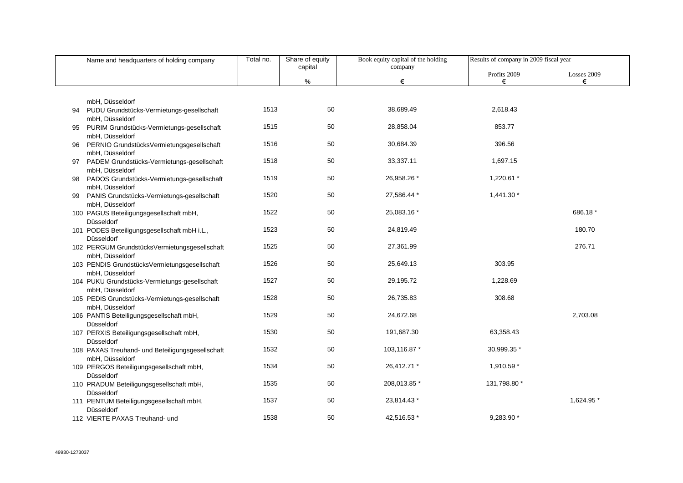|    | Name and headquarters of holding company                          | Total no. | Share of equity | Book equity capital of the holding | Results of company in 2009 fiscal year |                  |
|----|-------------------------------------------------------------------|-----------|-----------------|------------------------------------|----------------------------------------|------------------|
|    |                                                                   |           | capital<br>$\%$ | company<br>€                       | Profits 2009<br>€                      | Losses 2009<br>€ |
|    |                                                                   |           |                 |                                    |                                        |                  |
|    | mbH, Düsseldorf                                                   |           |                 |                                    |                                        |                  |
| 94 | PUDU Grundstücks-Vermietungs-gesellschaft<br>mbH, Düsseldorf      | 1513      | 50              | 38,689.49                          | 2,618.43                               |                  |
| 95 | PURIM Grundstücks-Vermietungs-gesellschaft                        | 1515      | $50\,$          | 28,858.04                          | 853.77                                 |                  |
| 96 | mbH, Düsseldorf<br>PERNIO GrundstücksVermietungsgesellschaft      | 1516      | 50              | 30,684.39                          | 396.56                                 |                  |
|    | mbH, Düsseldorf                                                   |           |                 |                                    |                                        |                  |
| 97 | PADEM Grundstücks-Vermietungs-gesellschaft<br>mbH, Düsseldorf     | 1518      | 50              | 33,337.11                          | 1,697.15                               |                  |
| 98 | PADOS Grundstücks-Vermietungs-gesellschaft                        | 1519      | 50              | 26,958.26 *                        | 1,220.61 *                             |                  |
| 99 | mbH, Düsseldorf<br>PANIS Grundstücks-Vermietungs-gesellschaft     | 1520      | 50              | 27,586.44 *                        | 1,441.30 *                             |                  |
|    | mbH, Düsseldorf<br>100 PAGUS Beteiligungsgesellschaft mbH,        | 1522      | 50              | 25,083.16 *                        |                                        | 686.18 *         |
|    | Düsseldorf                                                        |           |                 |                                    |                                        |                  |
|    | 101 PODES Beteiligungsgesellschaft mbH i.L.,<br>Düsseldorf        | 1523      | 50              | 24,819.49                          |                                        | 180.70           |
|    | 102 PERGUM GrundstücksVermietungsgesellschaft                     | 1525      | 50              | 27,361.99                          |                                        | 276.71           |
|    | mbH, Düsseldorf<br>103 PENDIS GrundstücksVermietungsgesellschaft  | 1526      | 50              | 25,649.13                          | 303.95                                 |                  |
|    | mbH, Düsseldorf<br>104 PUKU Grundstücks-Vermietungs-gesellschaft  | 1527      | 50              | 29,195.72                          | 1,228.69                               |                  |
|    | mbH, Düsseldorf                                                   |           |                 |                                    |                                        |                  |
|    | 105 PEDIS Grundstücks-Vermietungs-gesellschaft<br>mbH, Düsseldorf | 1528      | 50              | 26,735.83                          | 308.68                                 |                  |
|    | 106 PANTIS Beteiligungsgesellschaft mbH,<br>Düsseldorf            | 1529      | 50              | 24,672.68                          |                                        | 2,703.08         |
|    | 107 PERXIS Beteiligungsgesellschaft mbH,                          | 1530      | 50              | 191,687.30                         | 63,358.43                              |                  |
|    | Düsseldorf<br>108 PAXAS Treuhand- und Beteiligungsgesellschaft    | 1532      | 50              | 103,116.87 *                       | 30,999.35 *                            |                  |
|    | mbH, Düsseldorf                                                   |           |                 |                                    |                                        |                  |
|    | 109 PERGOS Beteiligungsgesellschaft mbH,<br>Düsseldorf            | 1534      | 50              | 26,412.71 *                        | 1,910.59 *                             |                  |
|    | 110 PRADUM Beteiligungsgesellschaft mbH,<br>Düsseldorf            | 1535      | 50              | 208,013.85 *                       | 131,798.80 *                           |                  |
|    | 111 PENTUM Beteiligungsgesellschaft mbH,<br>Düsseldorf            | 1537      | 50              | 23,814.43 *                        |                                        | 1,624.95 *       |
|    | 112 VIERTE PAXAS Treuhand- und                                    | 1538      | 50              | 42,516.53 *                        | 9.283.90 *                             |                  |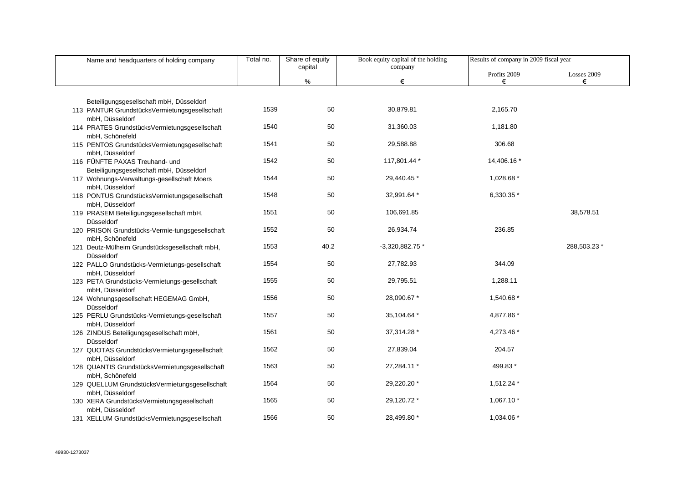| Name and headquarters of holding company                                                | Total no. | Share of equity | Book equity capital of the holding | Results of company in 2009 fiscal year |              |
|-----------------------------------------------------------------------------------------|-----------|-----------------|------------------------------------|----------------------------------------|--------------|
|                                                                                         |           | capital         | company                            | Profits 2009                           | Losses 2009  |
|                                                                                         |           | %               | €                                  | €                                      | €            |
|                                                                                         |           |                 |                                    |                                        |              |
| Beteiligungsgesellschaft mbH, Düsseldorf                                                |           |                 |                                    |                                        |              |
| 113 PANTUR GrundstücksVermietungsgesellschaft<br>mbH, Düsseldorf                        | 1539      | 50              | 30,879.81                          | 2,165.70                               |              |
| 114 PRATES GrundstücksVermietungsgesellschaft                                           | 1540      | 50              | 31,360.03                          | 1,181.80                               |              |
| mbH, Schönefeld                                                                         |           |                 |                                    |                                        |              |
| 115 PENTOS GrundstücksVermietungsgesellschaft                                           | 1541      | 50              | 29,588.88                          | 306.68                                 |              |
| mbH, Düsseldorf                                                                         |           |                 |                                    |                                        |              |
| 116 FÜNFTE PAXAS Treuhand- und                                                          | 1542      | 50              | 117,801.44 *                       | 14,406.16 *                            |              |
| Beteiligungsgesellschaft mbH, Düsseldorf<br>117 Wohnungs-Verwaltungs-gesellschaft Moers | 1544      | 50              | 29,440.45 *                        | 1,028.68 *                             |              |
| mbH, Düsseldorf                                                                         |           |                 |                                    |                                        |              |
| 118 PONTUS GrundstücksVermietungsgesellschaft                                           | 1548      | 50              | 32,991.64 *                        | 6,330.35 *                             |              |
| mbH, Düsseldorf                                                                         |           |                 |                                    |                                        |              |
| 119 PRASEM Beteiligungsgesellschaft mbH,                                                | 1551      | 50              | 106,691.85                         |                                        | 38,578.51    |
| Düsseldorf                                                                              | 1552      | 50              | 26,934.74                          | 236.85                                 |              |
| 120 PRISON Grundstücks-Vermie-tungsgesellschaft<br>mbH, Schönefeld                      |           |                 |                                    |                                        |              |
| 121 Deutz-Mülheim Grundstücksgesellschaft mbH,                                          | 1553      | 40.2            | $-3,320,882.75*$                   |                                        | 288,503.23 * |
| Düsseldorf                                                                              |           |                 |                                    |                                        |              |
| 122 PALLO Grundstücks-Vermietungs-gesellschaft                                          | 1554      | 50              | 27,782.93                          | 344.09                                 |              |
| mbH, Düsseldorf                                                                         | 1555      | 50              | 29,795.51                          | 1,288.11                               |              |
| 123 PETA Grundstücks-Vermietungs-gesellschaft<br>mbH, Düsseldorf                        |           |                 |                                    |                                        |              |
| 124 Wohnungsgesellschaft HEGEMAG GmbH,                                                  | 1556      | 50              | 28,090.67 *                        | 1,540.68 *                             |              |
| Düsseldorf                                                                              |           |                 |                                    |                                        |              |
| 125 PERLU Grundstücks-Vermietungs-gesellschaft                                          | 1557      | 50              | 35,104.64 *                        | 4,877.86 *                             |              |
| mbH, Düsseldorf                                                                         |           |                 |                                    |                                        |              |
| 126 ZINDUS Beteiligungsgesellschaft mbH,<br>Düsseldorf                                  | 1561      | 50              | 37,314.28 *                        | 4,273.46 *                             |              |
| 127 QUOTAS GrundstücksVermietungsgesellschaft                                           | 1562      | 50              | 27,839.04                          | 204.57                                 |              |
| mbH, Düsseldorf                                                                         |           |                 |                                    |                                        |              |
| 128 QUANTIS GrundstücksVermietungsgesellschaft                                          | 1563      | 50              | 27,284.11 *                        | 499.83 *                               |              |
| mbH, Schönefeld                                                                         |           |                 |                                    |                                        |              |
| 129 QUELLUM GrundstücksVermietungsgesellschaft                                          | 1564      | 50              | 29,220.20 *                        | 1,512.24 *                             |              |
| mbH, Düsseldorf<br>130 XERA GrundstücksVermietungsgesellschaft                          | 1565      | 50              | 29,120.72 *                        | $1,067.10*$                            |              |
| mbH, Düsseldorf                                                                         |           |                 |                                    |                                        |              |
| 131 XELLUM GrundstücksVermietungsgesellschaft                                           | 1566      | 50              | 28,499.80 *                        | 1,034.06 *                             |              |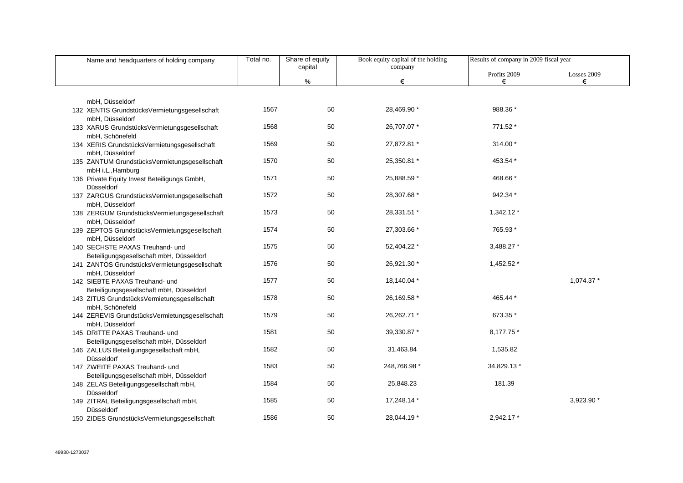| Name and headquarters of holding company                                                 | Total no. | Share of equity | Book equity capital of the holding | Results of company in 2009 fiscal year |                  |
|------------------------------------------------------------------------------------------|-----------|-----------------|------------------------------------|----------------------------------------|------------------|
|                                                                                          |           | capital<br>%    | company<br>€                       | Profits 2009<br>€                      | Losses 2009<br>€ |
|                                                                                          |           |                 |                                    |                                        |                  |
| mbH, Düsseldorf                                                                          |           |                 |                                    |                                        |                  |
| 132 XENTIS GrundstücksVermietungsgesellschaft<br>mbH, Düsseldorf                         | 1567      | 50              | 28,469.90 *                        | 988.36 *                               |                  |
| 133 XARUS GrundstücksVermietungsgesellschaft                                             | 1568      | 50              | 26,707.07 *                        | 771.52 *                               |                  |
| mbH, Schönefeld                                                                          |           |                 |                                    |                                        |                  |
| 134 XERIS GrundstücksVermietungsgesellschaft<br>mbH, Düsseldorf                          | 1569      | 50              | 27,872.81 *                        | 314.00 *                               |                  |
| 135 ZANTUM GrundstücksVermietungsgesellschaft                                            | 1570      | 50              | 25,350.81 *                        | 453.54 *                               |                  |
| mbH i.L., Hamburg                                                                        | 1571      | 50              | 25,888.59 *                        | 468.66 *                               |                  |
| 136 Private Equity Invest Beteiligungs GmbH,<br>Düsseldorf                               |           |                 |                                    |                                        |                  |
| 137 ZARGUS GrundstücksVermietungsgesellschaft                                            | 1572      | 50              | 28,307.68 *                        | 942.34 *                               |                  |
| mbH, Düsseldorf<br>138 ZERGUM GrundstücksVermietungsgesellschaft                         | 1573      | 50              | 28,331.51 *                        | $1,342.12*$                            |                  |
| mbH, Düsseldorf                                                                          |           |                 |                                    |                                        |                  |
| 139 ZEPTOS GrundstücksVermietungsgesellschaft                                            | 1574      | 50              | 27,303.66 *                        | 765.93 *                               |                  |
| mbH, Düsseldorf                                                                          |           |                 |                                    |                                        |                  |
| 140 SECHSTE PAXAS Treuhand- und<br>Beteiligungsgesellschaft mbH, Düsseldorf              | 1575      | 50              | 52,404.22 *                        | 3,488.27 *                             |                  |
| 141 ZANTOS GrundstücksVermietungsgesellschaft                                            | 1576      | 50              | 26,921.30 *                        | 1,452.52 *                             |                  |
| mbH, Düsseldorf                                                                          |           |                 |                                    |                                        |                  |
| 142 SIEBTE PAXAS Treuhand- und                                                           | 1577      | 50              | 18,140.04 *                        |                                        | 1,074.37 *       |
| Beteiligungsgesellschaft mbH, Düsseldorf<br>143 ZITUS GrundstücksVermietungsgesellschaft | 1578      | 50              | 26,169.58 *                        | 465.44 *                               |                  |
| mbH, Schönefeld                                                                          |           |                 |                                    |                                        |                  |
| 144 ZEREVIS GrundstücksVermietungsgesellschaft                                           | 1579      | 50              | 26,262.71 *                        | 673.35 *                               |                  |
| mbH, Düsseldorf                                                                          |           |                 |                                    |                                        |                  |
| 145 DRITTE PAXAS Treuhand- und                                                           | 1581      | 50              | 39,330.87 *                        | 8,177.75 *                             |                  |
| Beteiligungsgesellschaft mbH, Düsseldorf<br>146 ZALLUS Beteiligungsgesellschaft mbH,     | 1582      | 50              | 31,463.84                          | 1,535.82                               |                  |
| Düsseldorf                                                                               |           |                 |                                    |                                        |                  |
| 147 ZWEITE PAXAS Treuhand- und                                                           | 1583      | 50              | 248,766.98 *                       | 34,829.13 *                            |                  |
| Beteiligungsgesellschaft mbH, Düsseldorf                                                 |           |                 |                                    |                                        |                  |
| 148 ZELAS Beteiligungsgesellschaft mbH,                                                  | 1584      | 50              | 25,848.23                          | 181.39                                 |                  |
| Düsseldorf<br>149 ZITRAL Beteiligungsgesellschaft mbH,                                   | 1585      | 50              | 17,248.14 *                        |                                        | 3,923.90 *       |
| Düsseldorf                                                                               |           |                 |                                    |                                        |                  |
| 150 ZIDES GrundstücksVermietungsgesellschaft                                             | 1586      | 50              | 28,044.19 *                        | 2.942.17 *                             |                  |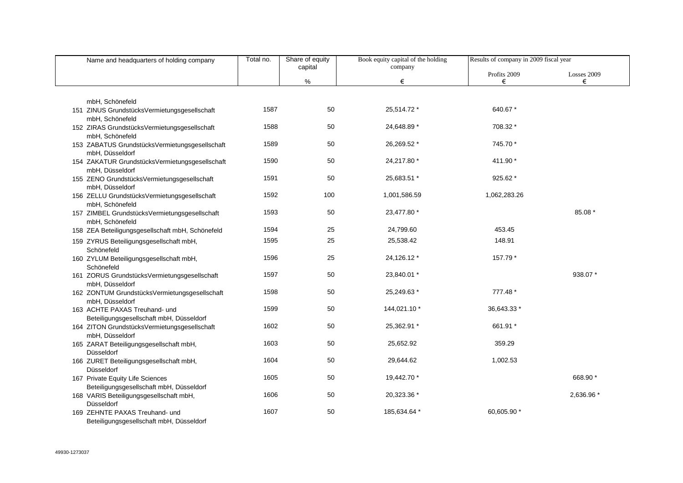| Name and headquarters of holding company                        | Total no. | Share of equity | Book equity capital of the holding | Results of company in 2009 fiscal year |             |
|-----------------------------------------------------------------|-----------|-----------------|------------------------------------|----------------------------------------|-------------|
|                                                                 |           | capital         | company                            | Profits 2009                           | Losses 2009 |
|                                                                 |           | %               | €                                  | €                                      | €           |
|                                                                 |           |                 |                                    |                                        |             |
| mbH, Schönefeld                                                 |           |                 |                                    |                                        |             |
| 151 ZINUS GrundstücksVermietungsgesellschaft                    | 1587      | 50              | 25,514.72 *                        | 640.67 *                               |             |
| mbH, Schönefeld<br>152 ZIRAS GrundstücksVermietungsgesellschaft | 1588      | 50              | 24,648.89 *                        | 708.32 *                               |             |
| mbH, Schönefeld                                                 |           |                 |                                    |                                        |             |
| 153 ZABATUS GrundstücksVermietungsgesellschaft                  | 1589      | 50              | 26,269.52 *                        | 745.70 *                               |             |
| mbH, Düsseldorf                                                 |           |                 |                                    |                                        |             |
| 154 ZAKATUR GrundstücksVermietungsgesellschaft                  | 1590      | 50              | 24,217.80 *                        | 411.90 *                               |             |
| mbH, Düsseldorf                                                 |           |                 |                                    |                                        |             |
| 155 ZENO GrundstücksVermietungsgesellschaft                     | 1591      | 50              | 25,683.51 *                        | 925.62 *                               |             |
| mbH, Düsseldorf<br>156 ZELLU GrundstücksVermietungsgesellschaft | 1592      | 100             | 1,001,586.59                       | 1,062,283.26                           |             |
| mbH, Schönefeld                                                 |           |                 |                                    |                                        |             |
| 157 ZIMBEL GrundstücksVermietungsgesellschaft                   | 1593      | 50              | 23,477.80 *                        |                                        | 85.08 *     |
| mbH, Schönefeld                                                 |           |                 |                                    |                                        |             |
| 158 ZEA Beteiligungsgesellschaft mbH, Schönefeld                | 1594      | 25              | 24,799.60                          | 453.45                                 |             |
| 159 ZYRUS Beteiligungsgesellschaft mbH,                         | 1595      | 25              | 25,538.42                          | 148.91                                 |             |
| Schönefeld                                                      |           |                 |                                    |                                        |             |
| 160 ZYLUM Beteiligungsgesellschaft mbH,                         | 1596      | 25              | 24,126.12 *                        | 157.79 *                               |             |
| Schönefeld                                                      | 1597      | 50              | 23,840.01 *                        |                                        | 938.07 *    |
| 161 ZORUS GrundstücksVermietungsgesellschaft<br>mbH, Düsseldorf |           |                 |                                    |                                        |             |
| 162 ZONTUM GrundstücksVermietungsgesellschaft                   | 1598      | 50              | 25,249.63 *                        | 777.48 *                               |             |
| mbH, Düsseldorf                                                 |           |                 |                                    |                                        |             |
| 163 ACHTE PAXAS Treuhand- und                                   | 1599      | 50              | 144,021.10 *                       | 36,643.33 *                            |             |
| Beteiligungsgesellschaft mbH, Düsseldorf                        |           |                 |                                    |                                        |             |
| 164 ZITON GrundstücksVermietungsgesellschaft                    | 1602      | 50              | 25,362.91 *                        | 661.91 *                               |             |
| mbH, Düsseldorf<br>165 ZARAT Beteiligungsgesellschaft mbH,      | 1603      | 50              | 25,652.92                          | 359.29                                 |             |
| Düsseldorf                                                      |           |                 |                                    |                                        |             |
| 166 ZURET Beteiligungsgesellschaft mbH,                         | 1604      | 50              | 29,644.62                          | 1,002.53                               |             |
| Düsseldorf                                                      |           |                 |                                    |                                        |             |
| 167 Private Equity Life Sciences                                | 1605      | 50              | 19,442.70 *                        |                                        | 668.90 *    |
| Beteiligungsgesellschaft mbH, Düsseldorf                        |           |                 |                                    |                                        |             |
| 168 VARIS Beteiligungsgesellschaft mbH,<br>Düsseldorf           | 1606      | 50              | 20,323.36 *                        |                                        | 2,636.96 *  |
| 169 ZEHNTE PAXAS Treuhand- und                                  | 1607      | 50              | 185,634.64 *                       | 60,605.90 *                            |             |
| Beteiligungsgesellschaft mbH, Düsseldorf                        |           |                 |                                    |                                        |             |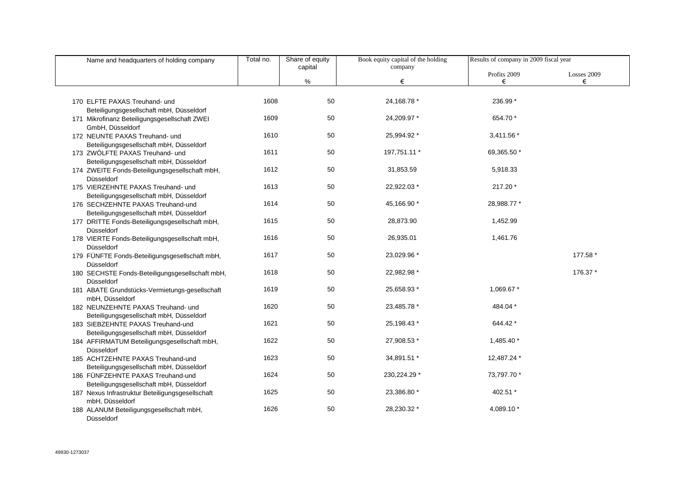| Name and headquarters of holding company                                      | Total no. | Share of equity | Book equity capital of the holding | Results of company in 2009 fiscal year |                  |
|-------------------------------------------------------------------------------|-----------|-----------------|------------------------------------|----------------------------------------|------------------|
|                                                                               |           | capital<br>%    | company<br>€                       | Profits 2009<br>€                      | Losses 2009<br>€ |
|                                                                               |           |                 |                                    |                                        |                  |
| 170 ELFTE PAXAS Treuhand- und                                                 | 1608      | 50              | 24, 168. 78 *                      | 236.99 *                               |                  |
| Beteiligungsgesellschaft mbH, Düsseldorf                                      |           |                 |                                    |                                        |                  |
| 171 Mikrofinanz Beteiligungsgesellschaft ZWEI<br>GmbH, Düsseldorf             | 1609      | 50              | 24,209.97 *                        | 654.70 *                               |                  |
| 172 NEUNTE PAXAS Treuhand- und                                                | 1610      | 50              | 25,994.92 *                        | 3,411.56 *                             |                  |
| Beteiligungsgesellschaft mbH, Düsseldorf                                      |           |                 |                                    |                                        |                  |
| 173 ZWÖLFTE PAXAS Treuhand- und                                               | 1611      | 50              | 197,751.11 *                       | 69,365.50 *                            |                  |
| Beteiligungsgesellschaft mbH, Düsseldorf                                      |           |                 |                                    |                                        |                  |
| 174 ZWEITE Fonds-Beteiligungsgesellschaft mbH,                                | 1612      | 50              | 31,853.59                          | 5,918.33                               |                  |
| Düsseldorf                                                                    |           |                 |                                    |                                        |                  |
| 175 VIERZEHNTE PAXAS Treuhand- und                                            | 1613      | 50              | 22,922.03 *                        | 217.20 *                               |                  |
| Beteiligungsgesellschaft mbH, Düsseldorf                                      |           |                 |                                    |                                        |                  |
| 176 SECHZEHNTE PAXAS Treuhand-und                                             | 1614      | 50              | 45,166.90 *                        | 28,988.77 *                            |                  |
| Beteiligungsgesellschaft mbH, Düsseldorf                                      |           |                 |                                    |                                        |                  |
| 177 DRITTE Fonds-Beteiligungsgesellschaft mbH,                                | 1615      | 50              | 28,873.90                          | 1,452.99                               |                  |
| Düsseldorf                                                                    | 1616      | 50              | 26,935.01                          | 1,461.76                               |                  |
| 178 VIERTE Fonds-Beteiligungsgesellschaft mbH,<br>Düsseldorf                  |           |                 |                                    |                                        |                  |
| 179 FÜNFTE Fonds-Beteiligungsgesellschaft mbH,                                | 1617      | 50              | 23,029.96 *                        |                                        | 177.58 *         |
| Düsseldorf                                                                    |           |                 |                                    |                                        |                  |
| 180 SECHSTE Fonds-Beteiligungsgesellschaft mbH,                               | 1618      | 50              | 22,982.98 *                        |                                        | 176.37 *         |
| Düsseldorf                                                                    |           |                 |                                    |                                        |                  |
| 181 ABATE Grundstücks-Vermietungs-gesellschaft                                | 1619      | 50              | 25,658.93 *                        | 1,069.67 *                             |                  |
| mbH, Düsseldorf                                                               |           |                 |                                    |                                        |                  |
| 182 NEUNZEHNTE PAXAS Treuhand- und                                            | 1620      | 50              | 23,485.78 *                        | 484.04 *                               |                  |
| Beteiligungsgesellschaft mbH, Düsseldorf                                      |           |                 |                                    |                                        |                  |
| 183 SIEBZEHNTE PAXAS Treuhand-und                                             | 1621      | 50              | 25,198.43 *                        | 644.42 *                               |                  |
| Beteiligungsgesellschaft mbH, Düsseldorf                                      |           |                 |                                    |                                        |                  |
| 184 AFFIRMATUM Beteiligungsgesellschaft mbH,                                  | 1622      | 50              | 27,908.53 *                        | 1,485.40 *                             |                  |
| Düsseldorf                                                                    |           |                 |                                    |                                        |                  |
| 185 ACHTZEHNTE PAXAS Treuhand-und                                             | 1623      | 50              | 34,891.51 *                        | 12,487.24 *                            |                  |
| Beteiligungsgesellschaft mbH, Düsseldorf                                      | 1624      | 50              | 230,224.29 *                       | 73,797.70 *                            |                  |
| 186 FÜNFZEHNTE PAXAS Treuhand-und<br>Beteiligungsgesellschaft mbH, Düsseldorf |           |                 |                                    |                                        |                  |
|                                                                               | 1625      | 50              | 23,386.80 *                        | 402.51 *                               |                  |
| 187 Nexus Infrastruktur Beteiligungsgesellschaft<br>mbH, Düsseldorf           |           |                 |                                    |                                        |                  |
| 188 ALANUM Beteiligungsgesellschaft mbH,                                      | 1626      | 50              | 28,230.32 *                        | 4,089.10 *                             |                  |
| Düsseldorf                                                                    |           |                 |                                    |                                        |                  |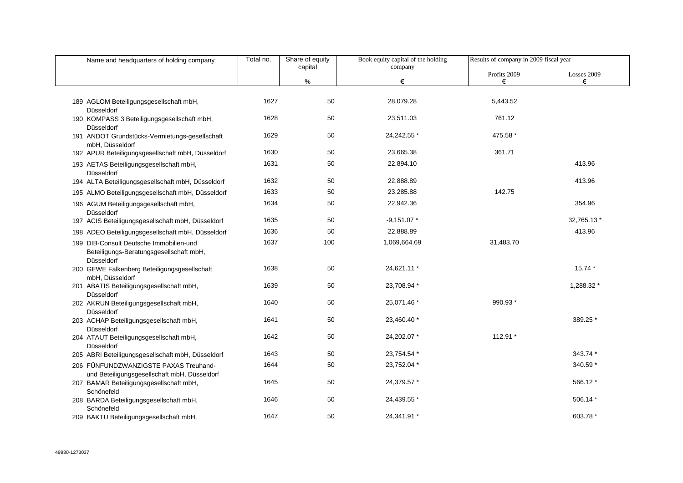| Name and headquarters of holding company                                                         | Total no. | Share of equity | Book equity capital of the holding | Results of company in 2009 fiscal year |                  |
|--------------------------------------------------------------------------------------------------|-----------|-----------------|------------------------------------|----------------------------------------|------------------|
|                                                                                                  |           | capital<br>%    | company<br>€                       | Profits 2009<br>€                      | Losses 2009<br>€ |
|                                                                                                  |           |                 |                                    |                                        |                  |
| 189 AGLOM Beteiligungsgesellschaft mbH,<br>Düsseldorf                                            | 1627      | 50              | 28,079.28                          | 5,443.52                               |                  |
| 190 KOMPASS 3 Beteiligungsgesellschaft mbH,<br>Düsseldorf                                        | 1628      | 50              | 23,511.03                          | 761.12                                 |                  |
| 191 ANDOT Grundstücks-Vermietungs-gesellschaft<br>mbH, Düsseldorf                                | 1629      | 50              | 24,242.55 *                        | 475.58 *                               |                  |
| 192 APUR Beteiligungsgesellschaft mbH, Düsseldorf                                                | 1630      | 50              | 23,665.38                          | 361.71                                 |                  |
| 193 AETAS Beteiligungsgesellschaft mbH,<br>Düsseldorf                                            | 1631      | 50              | 22,894.10                          |                                        | 413.96           |
| 194 ALTA Beteiligungsgesellschaft mbH, Düsseldorf                                                | 1632      | 50              | 22,888.89                          |                                        | 413.96           |
| 195 ALMO Beteiligungsgesellschaft mbH, Düsseldorf                                                | 1633      | 50              | 23,285.88                          | 142.75                                 |                  |
| 196 AGUM Beteiligungsgesellschaft mbH,<br>Düsseldorf                                             | 1634      | 50              | 22,942.36                          |                                        | 354.96           |
| 197 ACIS Beteiligungsgesellschaft mbH, Düsseldorf                                                | 1635      | 50              | $-9,151.07*$                       |                                        | 32,765.13 *      |
| 198 ADEO Beteiligungsgesellschaft mbH, Düsseldorf                                                | 1636      | 50              | 22,888.89                          |                                        | 413.96           |
| 199 DIB-Consult Deutsche Immobilien-und<br>Beteiligungs-Beratungsgesellschaft mbH,<br>Düsseldorf | 1637      | 100             | 1,069,664.69                       | 31,483.70                              |                  |
| 200 GEWE Falkenberg Beteiligungsgesellschaft<br>mbH, Düsseldorf                                  | 1638      | 50              | 24,621.11 *                        |                                        | 15.74 *          |
| 201 ABATIS Beteiligungsgesellschaft mbH,<br>Düsseldorf                                           | 1639      | 50              | 23,708.94 *                        |                                        | 1,288.32 *       |
| 202 AKRUN Beteiligungsgesellschaft mbH,<br>Düsseldorf                                            | 1640      | 50              | 25,071.46 *                        | 990.93 *                               |                  |
| 203 ACHAP Beteiligungsgesellschaft mbH,<br>Düsseldorf                                            | 1641      | 50              | 23,460.40 *                        |                                        | 389.25 *         |
| 204 ATAUT Beteiligungsgesellschaft mbH,<br>Düsseldorf                                            | 1642      | 50              | 24,202.07 *                        | 112.91 *                               |                  |
| 205 ABRI Beteiligungsgesellschaft mbH, Düsseldorf                                                | 1643      | 50              | 23,754.54 *                        |                                        | 343.74 *         |
| 206 FÜNFUNDZWANZIGSTE PAXAS Treuhand-<br>und Beteiligungsgesellschaft mbH, Düsseldorf            | 1644      | 50              | 23,752.04 *                        |                                        | 340.59 *         |
| 207 BAMAR Beteiligungsgesellschaft mbH,<br>Schönefeld                                            | 1645      | 50              | 24,379.57 *                        |                                        | 566.12 *         |
| 208 BARDA Beteiligungsgesellschaft mbH,<br>Schönefeld                                            | 1646      | 50              | 24,439.55 *                        |                                        | 506.14 *         |
| 209 BAKTU Beteiligungsgesellschaft mbH,                                                          | 1647      | 50              | 24,341.91 *                        |                                        | 603.78 *         |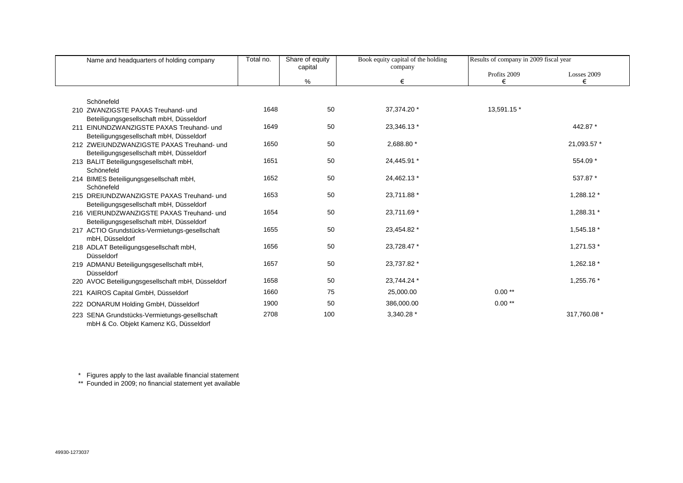| Name and headquarters of holding company                                                | Total no. | Share of equity<br>capital | Book equity capital of the holding<br>company | Results of company in 2009 fiscal year |              |
|-----------------------------------------------------------------------------------------|-----------|----------------------------|-----------------------------------------------|----------------------------------------|--------------|
|                                                                                         |           |                            |                                               | Profits 2009                           | Losses 2009  |
|                                                                                         |           | %                          | €                                             | €                                      | €            |
|                                                                                         |           |                            |                                               |                                        |              |
| Schönefeld                                                                              |           |                            |                                               |                                        |              |
| 210 ZWANZIGSTE PAXAS Treuhand- und                                                      | 1648      | 50                         | 37,374.20 *                                   | 13,591.15 *                            |              |
| Beteiligungsgesellschaft mbH, Düsseldorf                                                |           |                            |                                               |                                        |              |
| 211 EINUNDZWANZIGSTE PAXAS Treuhand- und                                                | 1649      | 50                         | 23,346.13 *                                   |                                        | 442.87 *     |
| Beteiligungsgesellschaft mbH, Düsseldorf                                                |           |                            |                                               |                                        |              |
| 212 ZWEIUNDZWANZIGSTE PAXAS Treuhand- und                                               | 1650      | 50                         | 2,688.80 *                                    |                                        | 21,093.57 *  |
| Beteiligungsgesellschaft mbH, Düsseldorf                                                |           |                            |                                               |                                        |              |
| 213 BALIT Beteiligungsgesellschaft mbH,                                                 | 1651      | 50                         | 24,445.91 *                                   |                                        | 554.09 *     |
| Schönefeld                                                                              |           |                            |                                               |                                        |              |
| 214 BIMES Beteiligungsgesellschaft mbH,                                                 | 1652      | 50                         | 24,462.13 *                                   |                                        | 537.87 *     |
| Schönefeld                                                                              |           |                            |                                               |                                        |              |
| 215 DREIUNDZWANZIGSTE PAXAS Treuhand- und                                               | 1653      | 50                         | 23,711.88 *                                   |                                        | 1,288.12 *   |
| Beteiligungsgesellschaft mbH, Düsseldorf                                                |           | 50                         | 23,711.69 *                                   |                                        | 1,288.31 *   |
| 216 VIERUNDZWANZIGSTE PAXAS Treuhand- und                                               | 1654      |                            |                                               |                                        |              |
| Beteiligungsgesellschaft mbH, Düsseldorf                                                | 1655      | 50                         | 23,454.82 *                                   |                                        | 1,545.18 *   |
| 217 ACTIO Grundstücks-Vermietungs-gesellschaft<br>mbH. Düsseldorf                       |           |                            |                                               |                                        |              |
|                                                                                         | 1656      | 50                         | 23,728.47 *                                   |                                        | 1,271.53 *   |
| 218 ADLAT Beteiligungsgesellschaft mbH,<br>Düsseldorf                                   |           |                            |                                               |                                        |              |
| 219 ADMANU Beteiligungsgesellschaft mbH,                                                | 1657      | 50                         | 23,737.82 *                                   |                                        | 1,262.18 *   |
| Düsseldorf                                                                              |           |                            |                                               |                                        |              |
| 220 AVOC Beteiligungsgesellschaft mbH, Düsseldorf                                       | 1658      | 50                         | 23,744.24 *                                   |                                        | 1,255.76 *   |
|                                                                                         |           |                            |                                               |                                        |              |
| 221 KAIROS Capital GmbH, Düsseldorf                                                     | 1660      | 75                         | 25,000.00                                     | $0.00**$                               |              |
| 222 DONARUM Holding GmbH, Düsseldorf                                                    | 1900      | 50                         | 386,000.00                                    | $0.00**$                               |              |
| 223 SENA Grundstücks-Vermietungs-gesellschaft<br>mbH & Co. Objekt Kamenz KG, Düsseldorf | 2708      | 100                        | 3,340.28 *                                    |                                        | 317,760.08 * |

\* Figures apply to the last available financial statement

\*\* Founded in 2009; no financial statement yet available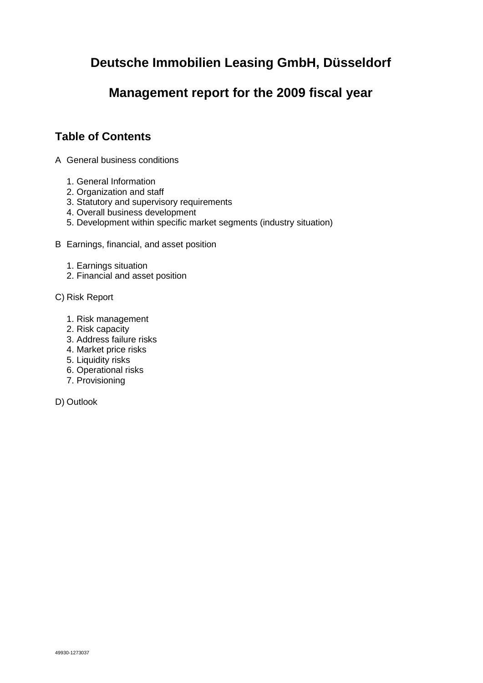# **Deutsche Immobilien Leasing GmbH, Düsseldorf**

# **Management report for the 2009 fiscal year**

# **Table of Contents**

- A General business conditions
	- 1. General Information
	- 2. Organization and staff
	- 3. Statutory and supervisory requirements
	- 4. Overall business development
	- 5. Development within specific market segments (industry situation)
- B Earnings, financial, and asset position
	- 1. Earnings situation
	- 2. Financial and asset position
- C) Risk Report
	- 1. Risk management
	- 2. Risk capacity
	- 3. Address failure risks
	- 4. Market price risks
	- 5. Liquidity risks
	- 6. Operational risks
	- 7. Provisioning
- D) Outlook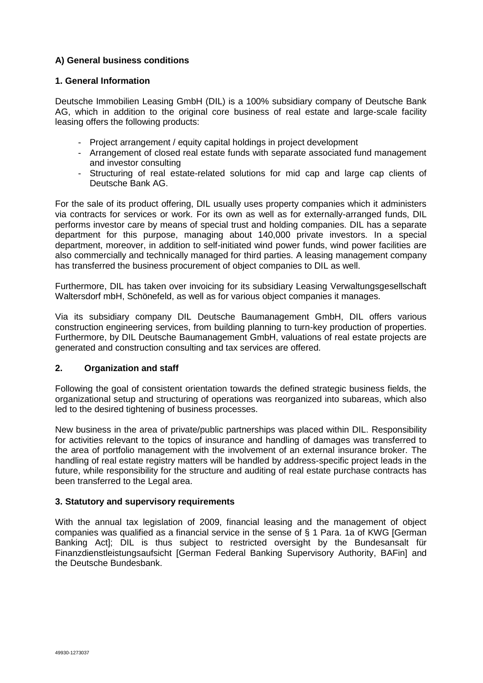### **A) General business conditions**

### **1. General Information**

Deutsche Immobilien Leasing GmbH (DIL) is a 100% subsidiary company of Deutsche Bank AG, which in addition to the original core business of real estate and large-scale facility leasing offers the following products:

- Project arrangement / equity capital holdings in project development
- Arrangement of closed real estate funds with separate associated fund management and investor consulting
- Structuring of real estate-related solutions for mid cap and large cap clients of Deutsche Bank AG.

For the sale of its product offering, DIL usually uses property companies which it administers via contracts for services or work. For its own as well as for externally-arranged funds, DIL performs investor care by means of special trust and holding companies. DIL has a separate department for this purpose, managing about 140,000 private investors. In a special department, moreover, in addition to self-initiated wind power funds, wind power facilities are also commercially and technically managed for third parties. A leasing management company has transferred the business procurement of object companies to DIL as well.

Furthermore, DIL has taken over invoicing for its subsidiary Leasing Verwaltungsgesellschaft Waltersdorf mbH, Schönefeld, as well as for various object companies it manages.

Via its subsidiary company DIL Deutsche Baumanagement GmbH, DIL offers various construction engineering services, from building planning to turn-key production of properties. Furthermore, by DIL Deutsche Baumanagement GmbH, valuations of real estate projects are generated and construction consulting and tax services are offered.

### **2. Organization and staff**

Following the goal of consistent orientation towards the defined strategic business fields, the organizational setup and structuring of operations was reorganized into subareas, which also led to the desired tightening of business processes.

New business in the area of private/public partnerships was placed within DIL. Responsibility for activities relevant to the topics of insurance and handling of damages was transferred to the area of portfolio management with the involvement of an external insurance broker. The handling of real estate registry matters will be handled by address-specific project leads in the future, while responsibility for the structure and auditing of real estate purchase contracts has been transferred to the Legal area.

### **3. Statutory and supervisory requirements**

With the annual tax legislation of 2009, financial leasing and the management of object companies was qualified as a financial service in the sense of § 1 Para. 1a of KWG [German Banking Act]; DIL is thus subject to restricted oversight by the Bundesansalt für Finanzdienstleistungsaufsicht [German Federal Banking Supervisory Authority, BAFin] and the Deutsche Bundesbank.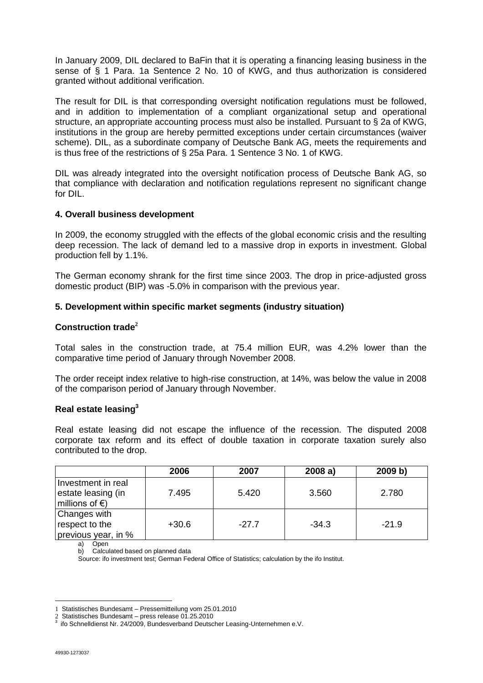In January 2009, DIL declared to BaFin that it is operating a financing leasing business in the sense of § 1 Para. 1a Sentence 2 No. 10 of KWG, and thus authorization is considered granted without additional verification.

The result for DIL is that corresponding oversight notification regulations must be followed, and in addition to implementation of a compliant organizational setup and operational structure, an appropriate accounting process must also be installed. Pursuant to § 2a of KWG, institutions in the group are hereby permitted exceptions under certain circumstances (waiver scheme). DIL, as a subordinate company of Deutsche Bank AG, meets the requirements and is thus free of the restrictions of § 25a Para. 1 Sentence 3 No. 1 of KWG.

DIL was already integrated into the oversight notification process of Deutsche Bank AG, so that compliance with declaration and notification regulations represent no significant change for DIL.

### **4. Overall business development**

In 2009, the economy struggled with the effects of the global economic crisis and the resulting deep recession. The lack of demand led to a massive drop in exports in investment. Global production fell by 1.1%.

The German economy shrank for the first time since 2003. The drop in price-adjusted gross domestic product (BIP) was -5.0% in comparison with the previous year.

### **5. Development within specific market segments (industry situation)**

### **Construction trade<sup>2</sup>**

Total sales in the construction trade, at 75.4 million EUR, was 4.2% lower than the comparative time period of January through November 2008.

The order receipt index relative to high-rise construction, at 14%, was below the value in 2008 of the comparison period of January through November.

### **Real estate leasing<sup>3</sup>**

Real estate leasing did not escape the influence of the recession. The disputed 2008 corporate tax reform and its effect of double taxation in corporate taxation surely also contributed to the drop.

|                          | 2006    | 2007    | 2008a)  | 2009 b) |
|--------------------------|---------|---------|---------|---------|
| Investment in real       |         |         |         |         |
| estate leasing (in       | 7.495   | 5.420   | 3.560   | 2.780   |
| millions of $\epsilon$ ) |         |         |         |         |
| Changes with             |         |         |         |         |
| respect to the           | $+30.6$ | $-27.7$ | $-34.3$ | $-21.9$ |
| previous year, in %      |         |         |         |         |

a) Open

b) Calculated based on planned data

Source: ifo investment test; German Federal Office of Statistics; calculation by the ifo Institut.

 $\overline{a}$ 

<sup>1</sup> Statistisches Bundesamt – Pressemitteilung vom 25.01.2010

<sup>2</sup> Statistisches Bundesamt – press release 01.25.2010 3 ifo Schnelldienst Nr. 24/2009, Bundesverband Deutscher Leasing-Unternehmen e.V.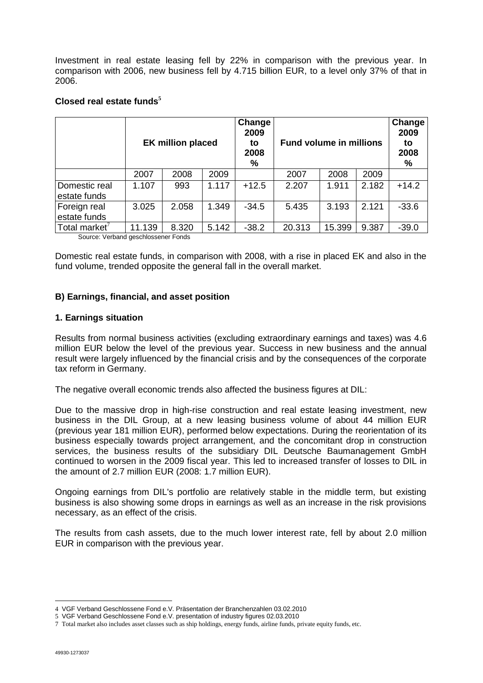Investment in real estate leasing fell by 22% in comparison with the previous year. In comparison with 2006, new business fell by 4.715 billion EUR, to a level only 37% of that in 2006.

|                               | <b>EK million placed</b> |       |       | Change<br>2009<br>to<br>2008<br>% | <b>Fund volume in millions</b> |        |       | Change<br>2009<br>to<br>2008<br>% |
|-------------------------------|--------------------------|-------|-------|-----------------------------------|--------------------------------|--------|-------|-----------------------------------|
|                               | 2007                     | 2008  | 2009  |                                   | 2007                           | 2008   | 2009  |                                   |
| Domestic real<br>estate funds | 1.107                    | 993   | 1.117 | $+12.5$                           | 2.207                          | 1.911  | 2.182 | $+14.2$                           |
| Foreign real<br>estate funds  | 3.025                    | 2.058 | 1.349 | $-34.5$                           | 5.435                          | 3.193  | 2.121 | $-33.6$                           |
| Total market <sup>7</sup>     | 11.139                   | 8.320 | 5.142 | $-38.2$                           | 20.313                         | 15.399 | 9.387 | $-39.0$                           |

### **Closed real estate funds<sup>5</sup>**

Source: Verband geschlossener Fonds

Domestic real estate funds, in comparison with 2008, with a rise in placed EK and also in the fund volume, trended opposite the general fall in the overall market.

### **B) Earnings, financial, and asset position**

### **1. Earnings situation**

Results from normal business activities (excluding extraordinary earnings and taxes) was 4.6 million EUR below the level of the previous year. Success in new business and the annual result were largely influenced by the financial crisis and by the consequences of the corporate tax reform in Germany.

The negative overall economic trends also affected the business figures at DIL:

Due to the massive drop in high-rise construction and real estate leasing investment, new business in the DIL Group, at a new leasing business volume of about 44 million EUR (previous year 181 million EUR), performed below expectations. During the reorientation of its business especially towards project arrangement, and the concomitant drop in construction services, the business results of the subsidiary DIL Deutsche Baumanagement GmbH continued to worsen in the 2009 fiscal year. This led to increased transfer of losses to DIL in the amount of 2.7 million EUR (2008: 1.7 million EUR).

Ongoing earnings from DIL's portfolio are relatively stable in the middle term, but existing business is also showing some drops in earnings as well as an increase in the risk provisions necessary, as an effect of the crisis.

The results from cash assets, due to the much lower interest rate, fell by about 2.0 million EUR in comparison with the previous year.

 $\overline{a}$ 4 VGF Verband Geschlossene Fond e.V. Präsentation der Branchenzahlen 03.02.2010

<sup>5</sup> VGF Verband Geschlossene Fond e.V. presentation of industry figures 02.03.2010

<sup>7</sup> Total market also includes asset classes such as ship holdings, energy funds, airline funds, private equity funds, etc.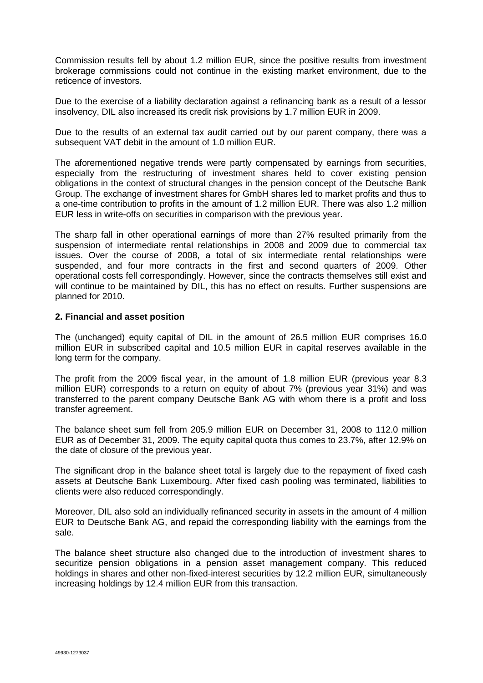Commission results fell by about 1.2 million EUR, since the positive results from investment brokerage commissions could not continue in the existing market environment, due to the reticence of investors.

Due to the exercise of a liability declaration against a refinancing bank as a result of a lessor insolvency, DIL also increased its credit risk provisions by 1.7 million EUR in 2009.

Due to the results of an external tax audit carried out by our parent company, there was a subsequent VAT debit in the amount of 1.0 million EUR.

The aforementioned negative trends were partly compensated by earnings from securities, especially from the restructuring of investment shares held to cover existing pension obligations in the context of structural changes in the pension concept of the Deutsche Bank Group. The exchange of investment shares for GmbH shares led to market profits and thus to a one-time contribution to profits in the amount of 1.2 million EUR. There was also 1.2 million EUR less in write-offs on securities in comparison with the previous year.

The sharp fall in other operational earnings of more than 27% resulted primarily from the suspension of intermediate rental relationships in 2008 and 2009 due to commercial tax issues. Over the course of 2008, a total of six intermediate rental relationships were suspended, and four more contracts in the first and second quarters of 2009. Other operational costs fell correspondingly. However, since the contracts themselves still exist and will continue to be maintained by DIL, this has no effect on results. Further suspensions are planned for 2010.

### **2. Financial and asset position**

The (unchanged) equity capital of DIL in the amount of 26.5 million EUR comprises 16.0 million EUR in subscribed capital and 10.5 million EUR in capital reserves available in the long term for the company.

The profit from the 2009 fiscal year, in the amount of 1.8 million EUR (previous year 8.3 million EUR) corresponds to a return on equity of about 7% (previous year 31%) and was transferred to the parent company Deutsche Bank AG with whom there is a profit and loss transfer agreement.

The balance sheet sum fell from 205.9 million EUR on December 31, 2008 to 112.0 million EUR as of December 31, 2009. The equity capital quota thus comes to 23.7%, after 12.9% on the date of closure of the previous year.

The significant drop in the balance sheet total is largely due to the repayment of fixed cash assets at Deutsche Bank Luxembourg. After fixed cash pooling was terminated, liabilities to clients were also reduced correspondingly.

Moreover, DIL also sold an individually refinanced security in assets in the amount of 4 million EUR to Deutsche Bank AG, and repaid the corresponding liability with the earnings from the sale.

The balance sheet structure also changed due to the introduction of investment shares to securitize pension obligations in a pension asset management company. This reduced holdings in shares and other non-fixed-interest securities by 12.2 million EUR, simultaneously increasing holdings by 12.4 million EUR from this transaction.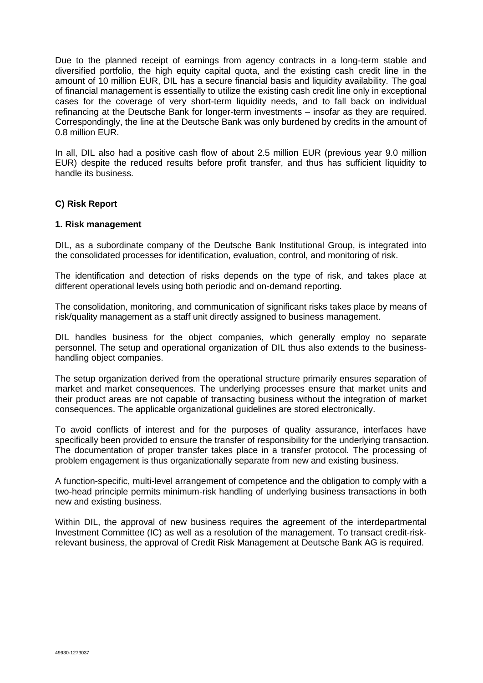Due to the planned receipt of earnings from agency contracts in a long-term stable and diversified portfolio, the high equity capital quota, and the existing cash credit line in the amount of 10 million EUR, DIL has a secure financial basis and liquidity availability. The goal of financial management is essentially to utilize the existing cash credit line only in exceptional cases for the coverage of very short-term liquidity needs, and to fall back on individual refinancing at the Deutsche Bank for longer-term investments – insofar as they are required. Correspondingly, the line at the Deutsche Bank was only burdened by credits in the amount of 0.8 million EUR.

In all, DIL also had a positive cash flow of about 2.5 million EUR (previous year 9.0 million EUR) despite the reduced results before profit transfer, and thus has sufficient liquidity to handle its business.

### **C) Risk Report**

### **1. Risk management**

DIL, as a subordinate company of the Deutsche Bank Institutional Group, is integrated into the consolidated processes for identification, evaluation, control, and monitoring of risk.

The identification and detection of risks depends on the type of risk, and takes place at different operational levels using both periodic and on-demand reporting.

The consolidation, monitoring, and communication of significant risks takes place by means of risk/quality management as a staff unit directly assigned to business management.

DIL handles business for the object companies, which generally employ no separate personnel. The setup and operational organization of DIL thus also extends to the businesshandling object companies.

The setup organization derived from the operational structure primarily ensures separation of market and market consequences. The underlying processes ensure that market units and their product areas are not capable of transacting business without the integration of market consequences. The applicable organizational guidelines are stored electronically.

To avoid conflicts of interest and for the purposes of quality assurance, interfaces have specifically been provided to ensure the transfer of responsibility for the underlying transaction. The documentation of proper transfer takes place in a transfer protocol. The processing of problem engagement is thus organizationally separate from new and existing business.

A function-specific, multi-level arrangement of competence and the obligation to comply with a two-head principle permits minimum-risk handling of underlying business transactions in both new and existing business.

Within DIL, the approval of new business requires the agreement of the interdepartmental Investment Committee (IC) as well as a resolution of the management. To transact credit-riskrelevant business, the approval of Credit Risk Management at Deutsche Bank AG is required.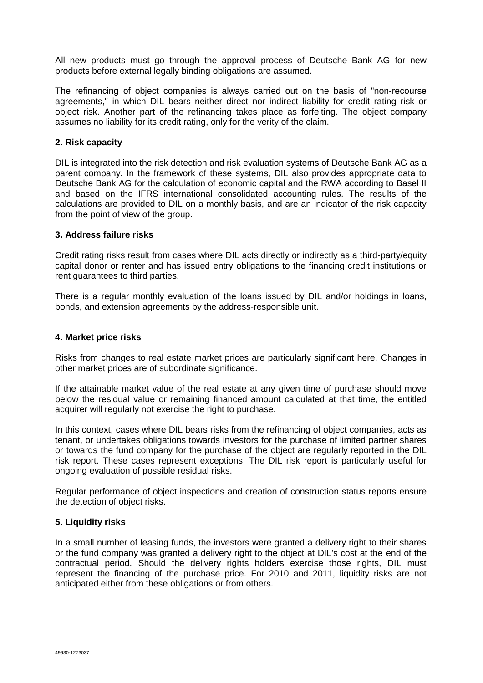All new products must go through the approval process of Deutsche Bank AG for new products before external legally binding obligations are assumed.

The refinancing of object companies is always carried out on the basis of "non-recourse agreements," in which DIL bears neither direct nor indirect liability for credit rating risk or object risk. Another part of the refinancing takes place as forfeiting. The object company assumes no liability for its credit rating, only for the verity of the claim.

### **2. Risk capacity**

DIL is integrated into the risk detection and risk evaluation systems of Deutsche Bank AG as a parent company. In the framework of these systems, DIL also provides appropriate data to Deutsche Bank AG for the calculation of economic capital and the RWA according to Basel II and based on the IFRS international consolidated accounting rules. The results of the calculations are provided to DIL on a monthly basis, and are an indicator of the risk capacity from the point of view of the group.

### **3. Address failure risks**

Credit rating risks result from cases where DIL acts directly or indirectly as a third-party/equity capital donor or renter and has issued entry obligations to the financing credit institutions or rent guarantees to third parties.

There is a regular monthly evaluation of the loans issued by DIL and/or holdings in loans, bonds, and extension agreements by the address-responsible unit.

### **4. Market price risks**

Risks from changes to real estate market prices are particularly significant here. Changes in other market prices are of subordinate significance.

If the attainable market value of the real estate at any given time of purchase should move below the residual value or remaining financed amount calculated at that time, the entitled acquirer will regularly not exercise the right to purchase.

In this context, cases where DIL bears risks from the refinancing of object companies, acts as tenant, or undertakes obligations towards investors for the purchase of limited partner shares or towards the fund company for the purchase of the object are regularly reported in the DIL risk report. These cases represent exceptions. The DIL risk report is particularly useful for ongoing evaluation of possible residual risks.

Regular performance of object inspections and creation of construction status reports ensure the detection of object risks.

### **5. Liquidity risks**

In a small number of leasing funds, the investors were granted a delivery right to their shares or the fund company was granted a delivery right to the object at DIL's cost at the end of the contractual period. Should the delivery rights holders exercise those rights, DIL must represent the financing of the purchase price. For 2010 and 2011, liquidity risks are not anticipated either from these obligations or from others.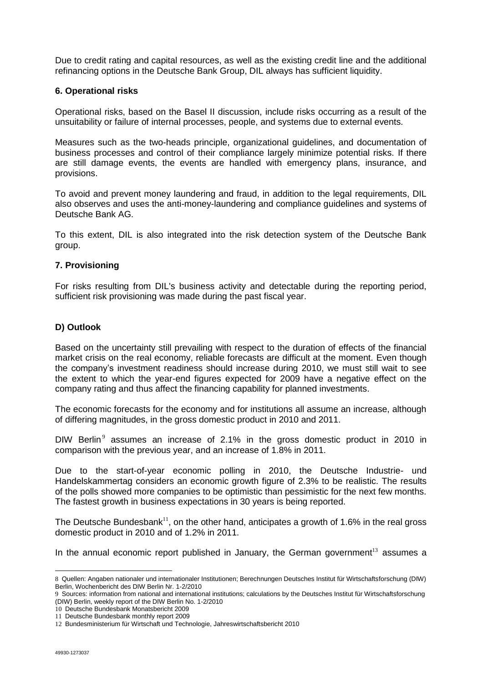Due to credit rating and capital resources, as well as the existing credit line and the additional refinancing options in the Deutsche Bank Group, DIL always has sufficient liquidity.

### **6. Operational risks**

Operational risks, based on the Basel II discussion, include risks occurring as a result of the unsuitability or failure of internal processes, people, and systems due to external events.

Measures such as the two-heads principle, organizational guidelines, and documentation of business processes and control of their compliance largely minimize potential risks. If there are still damage events, the events are handled with emergency plans, insurance, and provisions.

To avoid and prevent money laundering and fraud, in addition to the legal requirements, DIL also observes and uses the anti-money-laundering and compliance guidelines and systems of Deutsche Bank AG.

To this extent, DIL is also integrated into the risk detection system of the Deutsche Bank group.

### **7. Provisioning**

For risks resulting from DIL's business activity and detectable during the reporting period, sufficient risk provisioning was made during the past fiscal year.

### **D) Outlook**

Based on the uncertainty still prevailing with respect to the duration of effects of the financial market crisis on the real economy, reliable forecasts are difficult at the moment. Even though the company's investment readiness should increase during 2010, we must still wait to see the extent to which the year-end figures expected for 2009 have a negative effect on the company rating and thus affect the financing capability for planned investments.

The economic forecasts for the economy and for institutions all assume an increase, although of differing magnitudes, in the gross domestic product in 2010 and 2011.

DIW Berlin<sup>9</sup> assumes an increase of 2.1% in the gross domestic product in 2010 in comparison with the previous year, and an increase of 1.8% in 2011.

Due to the start-of-year economic polling in 2010, the Deutsche Industrie- und Handelskammertag considers an economic growth figure of 2.3% to be realistic. The results of the polls showed more companies to be optimistic than pessimistic for the next few months. The fastest growth in business expectations in 30 years is being reported.

The Deutsche Bundesbank<sup>11</sup>, on the other hand, anticipates a growth of 1.6% in the real gross domestic product in 2010 and of 1.2% in 2011.

In the annual economic report published in January, the German government<sup>13</sup> assumes a

 $\overline{a}$ 

<sup>8</sup> Quellen: Angaben nationaler und internationaler Institutionen; Berechnungen Deutsches Institut für Wirtschaftsforschung (DIW) Berlin, Wochenbericht des DIW Berlin Nr. 1-2/2010

<sup>9</sup> Sources: information from national and international institutions; calculations by the Deutsches Institut für Wirtschaftsforschung (DIW) Berlin, weekly report of the DIW Berlin No. 1-2/2010

<sup>10</sup> Deutsche Bundesbank Monatsbericht 2009

<sup>11</sup> Deutsche Bundesbank monthly report 2009

<sup>12</sup> Bundesministerium für Wirtschaft und Technologie, Jahreswirtschaftsbericht 2010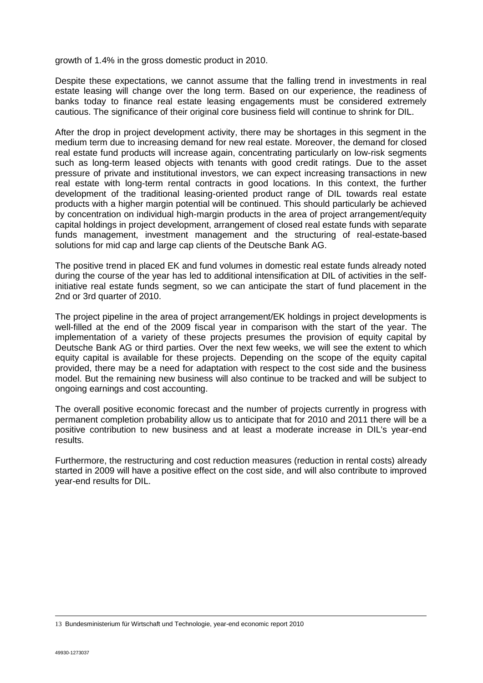growth of 1.4% in the gross domestic product in 2010.

Despite these expectations, we cannot assume that the falling trend in investments in real estate leasing will change over the long term. Based on our experience, the readiness of banks today to finance real estate leasing engagements must be considered extremely cautious. The significance of their original core business field will continue to shrink for DIL.

After the drop in project development activity, there may be shortages in this segment in the medium term due to increasing demand for new real estate. Moreover, the demand for closed real estate fund products will increase again, concentrating particularly on low-risk segments such as long-term leased objects with tenants with good credit ratings. Due to the asset pressure of private and institutional investors, we can expect increasing transactions in new real estate with long-term rental contracts in good locations. In this context, the further development of the traditional leasing-oriented product range of DIL towards real estate products with a higher margin potential will be continued. This should particularly be achieved by concentration on individual high-margin products in the area of project arrangement/equity capital holdings in project development, arrangement of closed real estate funds with separate funds management, investment management and the structuring of real-estate-based solutions for mid cap and large cap clients of the Deutsche Bank AG.

The positive trend in placed EK and fund volumes in domestic real estate funds already noted during the course of the year has led to additional intensification at DIL of activities in the selfinitiative real estate funds segment, so we can anticipate the start of fund placement in the 2nd or 3rd quarter of 2010.

The project pipeline in the area of project arrangement/EK holdings in project developments is well-filled at the end of the 2009 fiscal year in comparison with the start of the year. The implementation of a variety of these projects presumes the provision of equity capital by Deutsche Bank AG or third parties. Over the next few weeks, we will see the extent to which equity capital is available for these projects. Depending on the scope of the equity capital provided, there may be a need for adaptation with respect to the cost side and the business model. But the remaining new business will also continue to be tracked and will be subject to ongoing earnings and cost accounting.

The overall positive economic forecast and the number of projects currently in progress with permanent completion probability allow us to anticipate that for 2010 and 2011 there will be a positive contribution to new business and at least a moderate increase in DIL's year-end results.

Furthermore, the restructuring and cost reduction measures (reduction in rental costs) already started in 2009 will have a positive effect on the cost side, and will also contribute to improved year-end results for DIL.

13 Bundesministerium für Wirtschaft und Technologie, year-end economic report 2010

 $\overline{a}$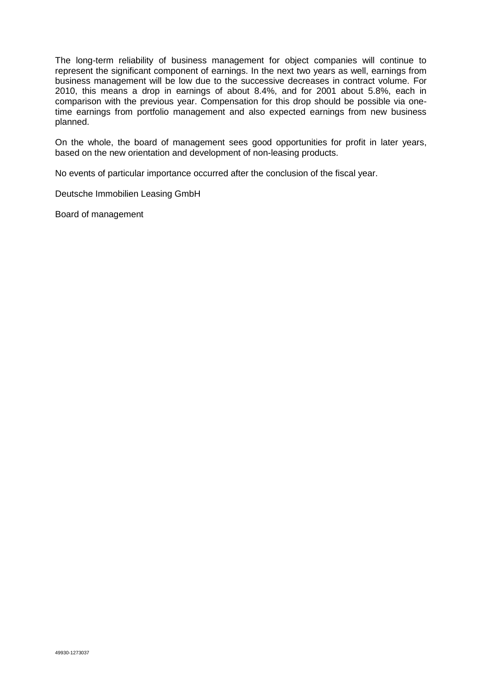The long-term reliability of business management for object companies will continue to represent the significant component of earnings. In the next two years as well, earnings from business management will be low due to the successive decreases in contract volume. For 2010, this means a drop in earnings of about 8.4%, and for 2001 about 5.8%, each in comparison with the previous year. Compensation for this drop should be possible via onetime earnings from portfolio management and also expected earnings from new business planned.

On the whole, the board of management sees good opportunities for profit in later years, based on the new orientation and development of non-leasing products.

No events of particular importance occurred after the conclusion of the fiscal year.

Deutsche Immobilien Leasing GmbH

Board of management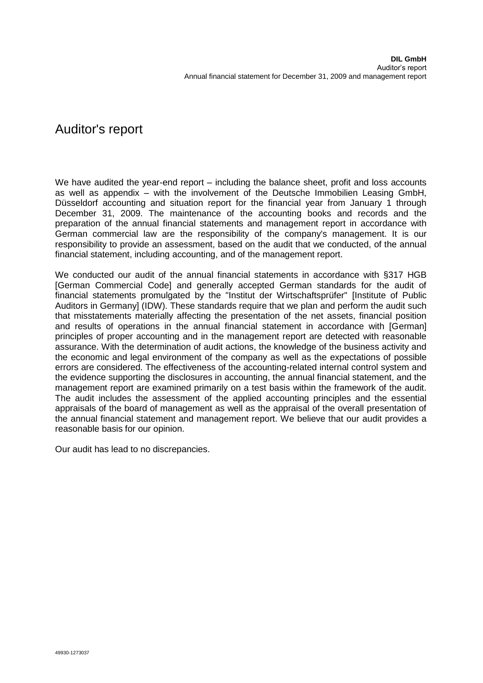# Auditor's report

We have audited the year-end report – including the balance sheet, profit and loss accounts as well as appendix – with the involvement of the Deutsche Immobilien Leasing GmbH, Düsseldorf accounting and situation report for the financial year from January 1 through December 31, 2009. The maintenance of the accounting books and records and the preparation of the annual financial statements and management report in accordance with German commercial law are the responsibility of the company's management. It is our responsibility to provide an assessment, based on the audit that we conducted, of the annual financial statement, including accounting, and of the management report.

We conducted our audit of the annual financial statements in accordance with §317 HGB [German Commercial Code] and generally accepted German standards for the audit of financial statements promulgated by the "Institut der Wirtschaftsprüfer" [Institute of Public Auditors in Germany] (IDW). These standards require that we plan and perform the audit such that misstatements materially affecting the presentation of the net assets, financial position and results of operations in the annual financial statement in accordance with [German] principles of proper accounting and in the management report are detected with reasonable assurance. With the determination of audit actions, the knowledge of the business activity and the economic and legal environment of the company as well as the expectations of possible errors are considered. The effectiveness of the accounting-related internal control system and the evidence supporting the disclosures in accounting, the annual financial statement, and the management report are examined primarily on a test basis within the framework of the audit. The audit includes the assessment of the applied accounting principles and the essential appraisals of the board of management as well as the appraisal of the overall presentation of the annual financial statement and management report. We believe that our audit provides a reasonable basis for our opinion.

Our audit has lead to no discrepancies.